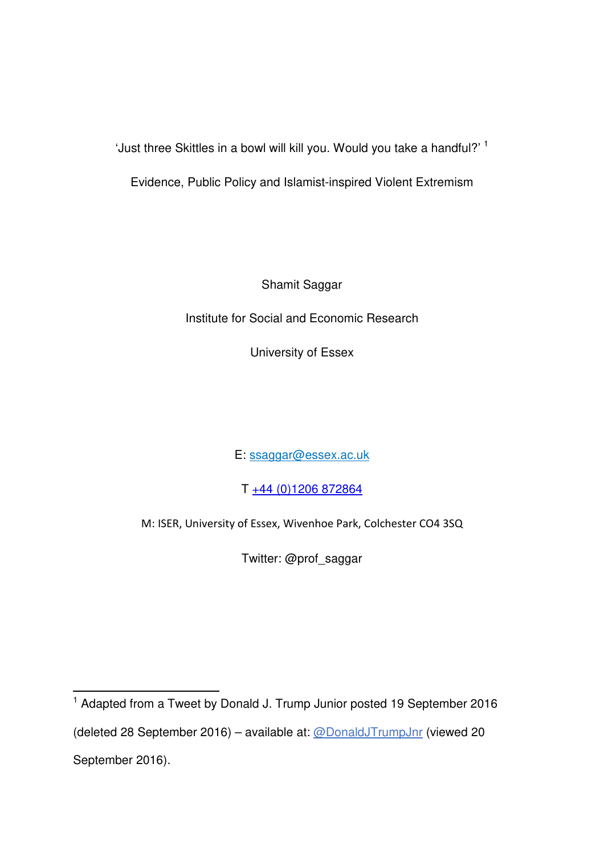'Just three Skittles in a bowl will kill you. Would you take a handful?' <sup>1</sup>

Evidence, Public Policy and Islamist-inspired Violent Extremism

Shamit Saggar

Institute for Social and Economic Research

University of Essex

E: ssaggar@essex.ac.uk

T +44 (0)1206 872864

M: ISER, University of Essex, Wivenhoe Park, Colchester CO4 3SQ

Twitter: @prof\_saggar

 $\overline{a}$ <sup>1</sup> Adapted from a Tweet by Donald J. Trump Junior posted 19 September 2016 (deleted 28 September 2016) – available at: @DonaldJTrumpJnr (viewed 20 September 2016).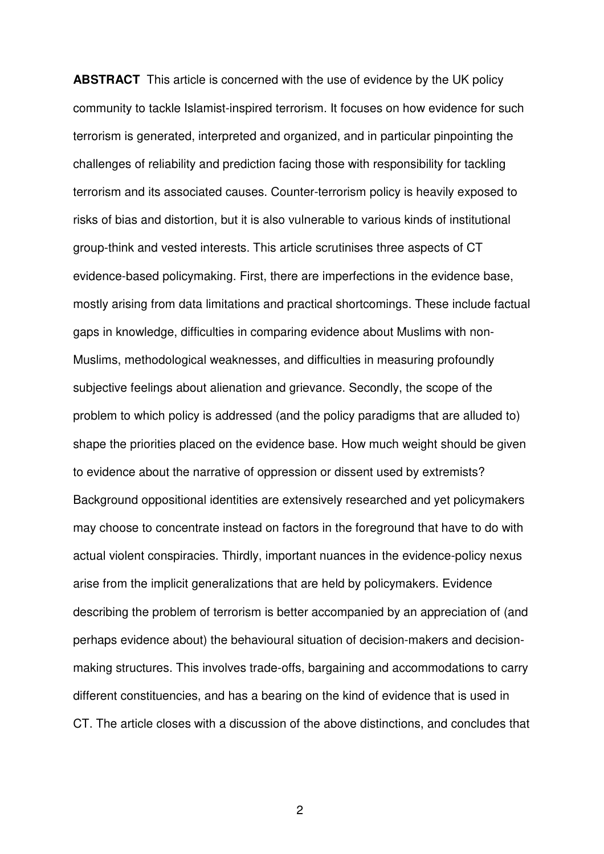**ABSTRACT** This article is concerned with the use of evidence by the UK policy community to tackle Islamist-inspired terrorism. It focuses on how evidence for such terrorism is generated, interpreted and organized, and in particular pinpointing the challenges of reliability and prediction facing those with responsibility for tackling terrorism and its associated causes. Counter-terrorism policy is heavily exposed to risks of bias and distortion, but it is also vulnerable to various kinds of institutional group-think and vested interests. This article scrutinises three aspects of CT evidence-based policymaking. First, there are imperfections in the evidence base, mostly arising from data limitations and practical shortcomings. These include factual gaps in knowledge, difficulties in comparing evidence about Muslims with non-Muslims, methodological weaknesses, and difficulties in measuring profoundly subjective feelings about alienation and grievance. Secondly, the scope of the problem to which policy is addressed (and the policy paradigms that are alluded to) shape the priorities placed on the evidence base. How much weight should be given to evidence about the narrative of oppression or dissent used by extremists? Background oppositional identities are extensively researched and yet policymakers may choose to concentrate instead on factors in the foreground that have to do with actual violent conspiracies. Thirdly, important nuances in the evidence-policy nexus arise from the implicit generalizations that are held by policymakers. Evidence describing the problem of terrorism is better accompanied by an appreciation of (and perhaps evidence about) the behavioural situation of decision-makers and decisionmaking structures. This involves trade-offs, bargaining and accommodations to carry different constituencies, and has a bearing on the kind of evidence that is used in CT. The article closes with a discussion of the above distinctions, and concludes that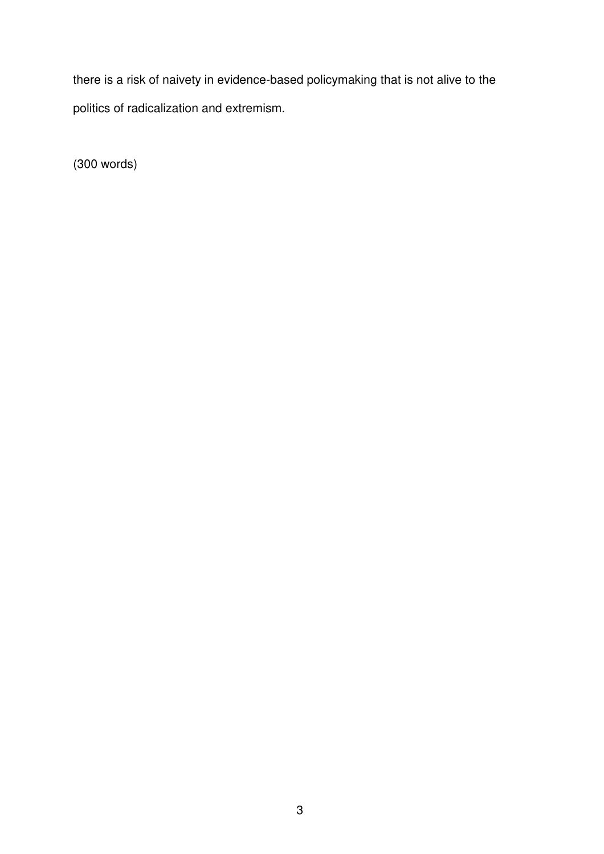there is a risk of naivety in evidence-based policymaking that is not alive to the politics of radicalization and extremism.

(300 words)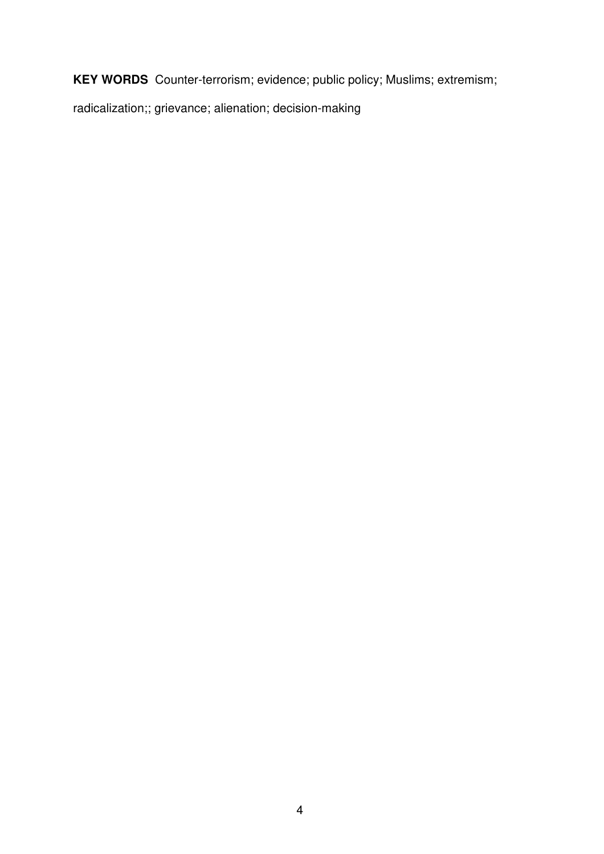**KEY WORDS** Counter-terrorism; evidence; public policy; Muslims; extremism;

radicalization;; grievance; alienation; decision-making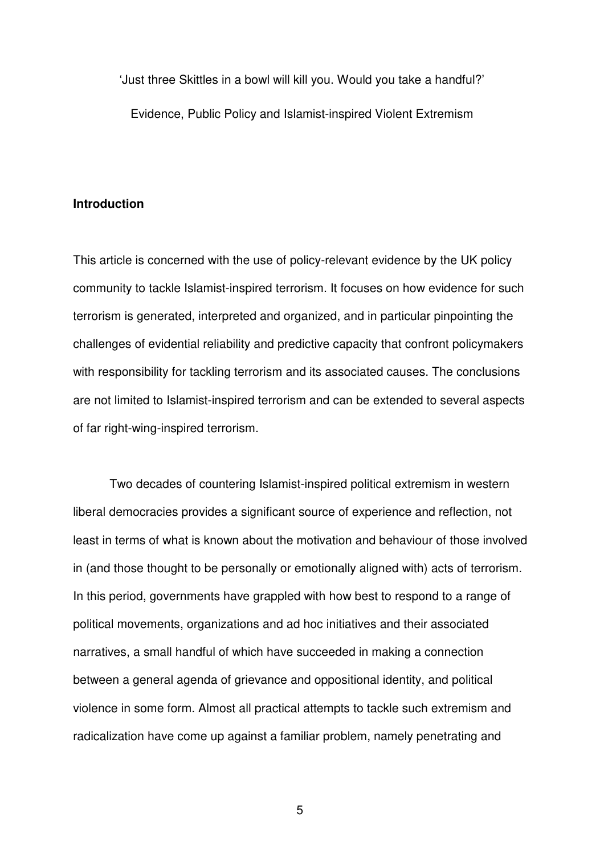'Just three Skittles in a bowl will kill you. Would you take a handful?' Evidence, Public Policy and Islamist-inspired Violent Extremism

#### **Introduction**

This article is concerned with the use of policy-relevant evidence by the UK policy community to tackle Islamist-inspired terrorism. It focuses on how evidence for such terrorism is generated, interpreted and organized, and in particular pinpointing the challenges of evidential reliability and predictive capacity that confront policymakers with responsibility for tackling terrorism and its associated causes. The conclusions are not limited to Islamist-inspired terrorism and can be extended to several aspects of far right-wing-inspired terrorism.

Two decades of countering Islamist-inspired political extremism in western liberal democracies provides a significant source of experience and reflection, not least in terms of what is known about the motivation and behaviour of those involved in (and those thought to be personally or emotionally aligned with) acts of terrorism. In this period, governments have grappled with how best to respond to a range of political movements, organizations and ad hoc initiatives and their associated narratives, a small handful of which have succeeded in making a connection between a general agenda of grievance and oppositional identity, and political violence in some form. Almost all practical attempts to tackle such extremism and radicalization have come up against a familiar problem, namely penetrating and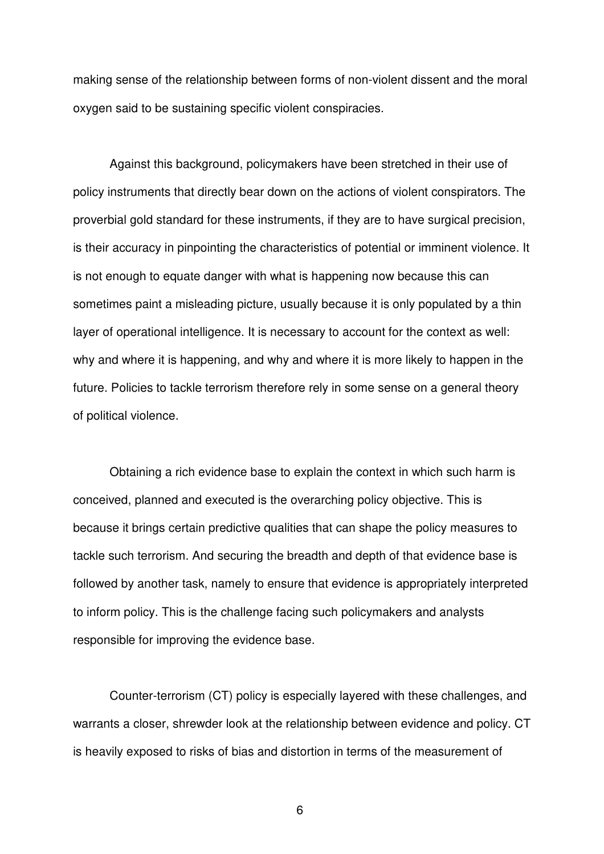making sense of the relationship between forms of non-violent dissent and the moral oxygen said to be sustaining specific violent conspiracies.

Against this background, policymakers have been stretched in their use of policy instruments that directly bear down on the actions of violent conspirators. The proverbial gold standard for these instruments, if they are to have surgical precision, is their accuracy in pinpointing the characteristics of potential or imminent violence. It is not enough to equate danger with what is happening now because this can sometimes paint a misleading picture, usually because it is only populated by a thin layer of operational intelligence. It is necessary to account for the context as well: why and where it is happening, and why and where it is more likely to happen in the future. Policies to tackle terrorism therefore rely in some sense on a general theory of political violence.

Obtaining a rich evidence base to explain the context in which such harm is conceived, planned and executed is the overarching policy objective. This is because it brings certain predictive qualities that can shape the policy measures to tackle such terrorism. And securing the breadth and depth of that evidence base is followed by another task, namely to ensure that evidence is appropriately interpreted to inform policy. This is the challenge facing such policymakers and analysts responsible for improving the evidence base.

Counter-terrorism (CT) policy is especially layered with these challenges, and warrants a closer, shrewder look at the relationship between evidence and policy. CT is heavily exposed to risks of bias and distortion in terms of the measurement of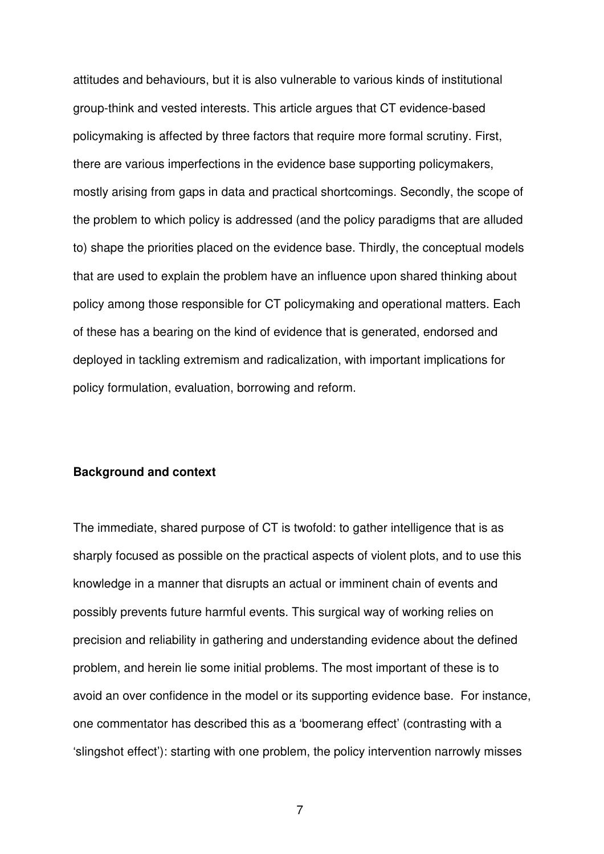attitudes and behaviours, but it is also vulnerable to various kinds of institutional group-think and vested interests. This article argues that CT evidence-based policymaking is affected by three factors that require more formal scrutiny. First, there are various imperfections in the evidence base supporting policymakers, mostly arising from gaps in data and practical shortcomings. Secondly, the scope of the problem to which policy is addressed (and the policy paradigms that are alluded to) shape the priorities placed on the evidence base. Thirdly, the conceptual models that are used to explain the problem have an influence upon shared thinking about policy among those responsible for CT policymaking and operational matters. Each of these has a bearing on the kind of evidence that is generated, endorsed and deployed in tackling extremism and radicalization, with important implications for policy formulation, evaluation, borrowing and reform.

# **Background and context**

The immediate, shared purpose of CT is twofold: to gather intelligence that is as sharply focused as possible on the practical aspects of violent plots, and to use this knowledge in a manner that disrupts an actual or imminent chain of events and possibly prevents future harmful events. This surgical way of working relies on precision and reliability in gathering and understanding evidence about the defined problem, and herein lie some initial problems. The most important of these is to avoid an over confidence in the model or its supporting evidence base. For instance, one commentator has described this as a 'boomerang effect' (contrasting with a 'slingshot effect'): starting with one problem, the policy intervention narrowly misses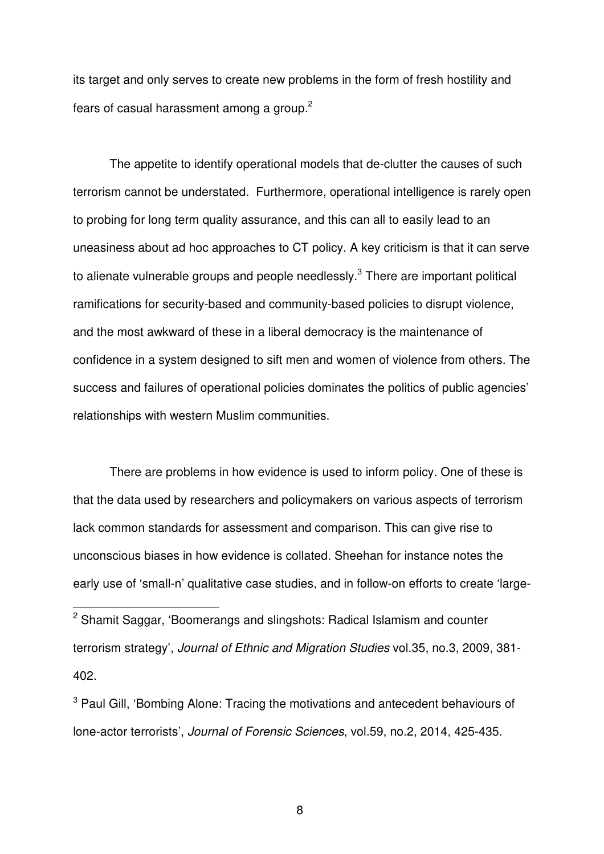its target and only serves to create new problems in the form of fresh hostility and fears of casual harassment among a group.<sup>2</sup>

The appetite to identify operational models that de-clutter the causes of such terrorism cannot be understated. Furthermore, operational intelligence is rarely open to probing for long term quality assurance, and this can all to easily lead to an uneasiness about ad hoc approaches to CT policy. A key criticism is that it can serve to alienate vulnerable groups and people needlessly. $^3$  There are important political ramifications for security-based and community-based policies to disrupt violence, and the most awkward of these in a liberal democracy is the maintenance of confidence in a system designed to sift men and women of violence from others. The success and failures of operational policies dominates the politics of public agencies' relationships with western Muslim communities.

There are problems in how evidence is used to inform policy. One of these is that the data used by researchers and policymakers on various aspects of terrorism lack common standards for assessment and comparison. This can give rise to unconscious biases in how evidence is collated. Sheehan for instance notes the early use of 'small-n' qualitative case studies, and in follow-on efforts to create 'large-

 $\overline{a}$ 

<sup>&</sup>lt;sup>2</sup> Shamit Saggar, 'Boomerangs and slingshots: Radical Islamism and counter terrorism strategy', *Journal of Ethnic and Migration Studies* vol.35, no.3, 2009, 381- 402.

<sup>&</sup>lt;sup>3</sup> Paul Gill, 'Bombing Alone: Tracing the motivations and antecedent behaviours of lone-actor terrorists', *Journal of Forensic Sciences*, vol.59, no.2, 2014, 425-435.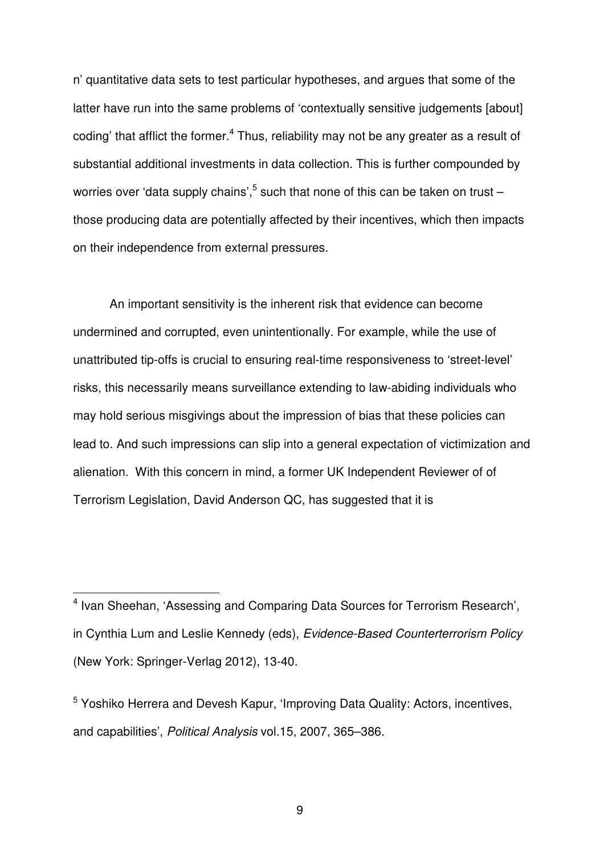n' quantitative data sets to test particular hypotheses, and argues that some of the latter have run into the same problems of 'contextually sensitive judgements [about] coding' that afflict the former.<sup>4</sup> Thus, reliability may not be any greater as a result of substantial additional investments in data collection. This is further compounded by worries over 'data supply chains', $^5$  such that none of this can be taken on trust – those producing data are potentially affected by their incentives, which then impacts on their independence from external pressures.

An important sensitivity is the inherent risk that evidence can become undermined and corrupted, even unintentionally. For example, while the use of unattributed tip-offs is crucial to ensuring real-time responsiveness to 'street-level' risks, this necessarily means surveillance extending to law-abiding individuals who may hold serious misgivings about the impression of bias that these policies can lead to. And such impressions can slip into a general expectation of victimization and alienation. With this concern in mind, a former UK Independent Reviewer of of Terrorism Legislation, David Anderson QC, has suggested that it is

j

<sup>&</sup>lt;sup>4</sup> Ivan Sheehan, 'Assessing and Comparing Data Sources for Terrorism Research', in Cynthia Lum and Leslie Kennedy (eds), *Evidence-Based Counterterrorism Policy* (New York: Springer-Verlag 2012), 13-40.

<sup>&</sup>lt;sup>5</sup> Yoshiko Herrera and Devesh Kapur, 'Improving Data Quality: Actors, incentives, and capabilities', *Political Analysis* vol.15, 2007, 365–386.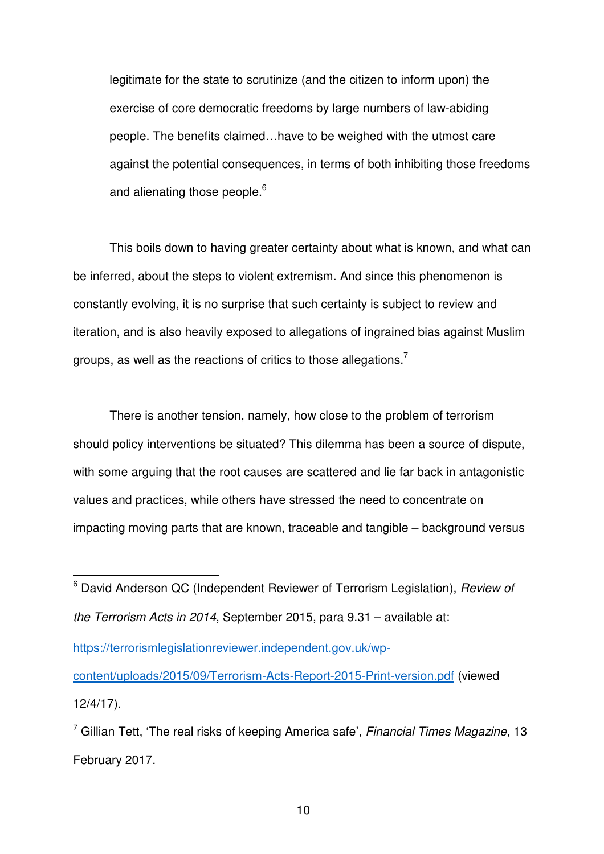legitimate for the state to scrutinize (and the citizen to inform upon) the exercise of core democratic freedoms by large numbers of law-abiding people. The benefits claimed…have to be weighed with the utmost care against the potential consequences, in terms of both inhibiting those freedoms and alienating those people.<sup>6</sup>

This boils down to having greater certainty about what is known, and what can be inferred, about the steps to violent extremism. And since this phenomenon is constantly evolving, it is no surprise that such certainty is subject to review and iteration, and is also heavily exposed to allegations of ingrained bias against Muslim groups, as well as the reactions of critics to those allegations.<sup>7</sup>

There is another tension, namely, how close to the problem of terrorism should policy interventions be situated? This dilemma has been a source of dispute, with some arguing that the root causes are scattered and lie far back in antagonistic values and practices, while others have stressed the need to concentrate on impacting moving parts that are known, traceable and tangible – background versus

 $\overline{a}$ 

https://terrorismlegislationreviewer.independent.gov.uk/wpcontent/uploads/2015/09/Terrorism-Acts-Report-2015-Print-version.pdf (viewed 12/4/17).

<sup>6</sup> David Anderson QC (Independent Reviewer of Terrorism Legislation), *Review of the Terrorism Acts in 2014*, September 2015, para 9.31 – available at:

<sup>7</sup> Gillian Tett, 'The real risks of keeping America safe', *Financial Times Magazine*, 13 February 2017.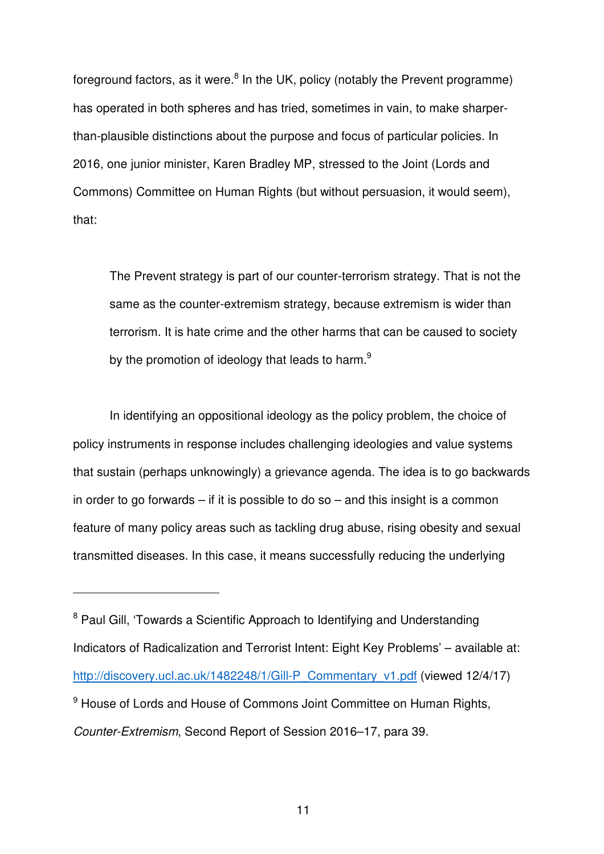foreground factors, as it were. $8$  In the UK, policy (notably the Prevent programme) has operated in both spheres and has tried, sometimes in vain, to make sharperthan-plausible distinctions about the purpose and focus of particular policies. In 2016, one junior minister, Karen Bradley MP, stressed to the Joint (Lords and Commons) Committee on Human Rights (but without persuasion, it would seem), that:

The Prevent strategy is part of our counter-terrorism strategy. That is not the same as the counter-extremism strategy, because extremism is wider than terrorism. It is hate crime and the other harms that can be caused to society by the promotion of ideology that leads to harm.<sup>9</sup>

In identifying an oppositional ideology as the policy problem, the choice of policy instruments in response includes challenging ideologies and value systems that sustain (perhaps unknowingly) a grievance agenda. The idea is to go backwards in order to go forwards  $-$  if it is possible to do so  $-$  and this insight is a common feature of many policy areas such as tackling drug abuse, rising obesity and sexual transmitted diseases. In this case, it means successfully reducing the underlying

j

<sup>&</sup>lt;sup>8</sup> Paul Gill, 'Towards a Scientific Approach to Identifying and Understanding Indicators of Radicalization and Terrorist Intent: Eight Key Problems' – available at: http://discovery.ucl.ac.uk/1482248/1/Gill-P\_Commentary\_v1.pdf (viewed 12/4/17) <sup>9</sup> House of Lords and House of Commons Joint Committee on Human Rights, *Counter-Extremism*, Second Report of Session 2016–17, para 39.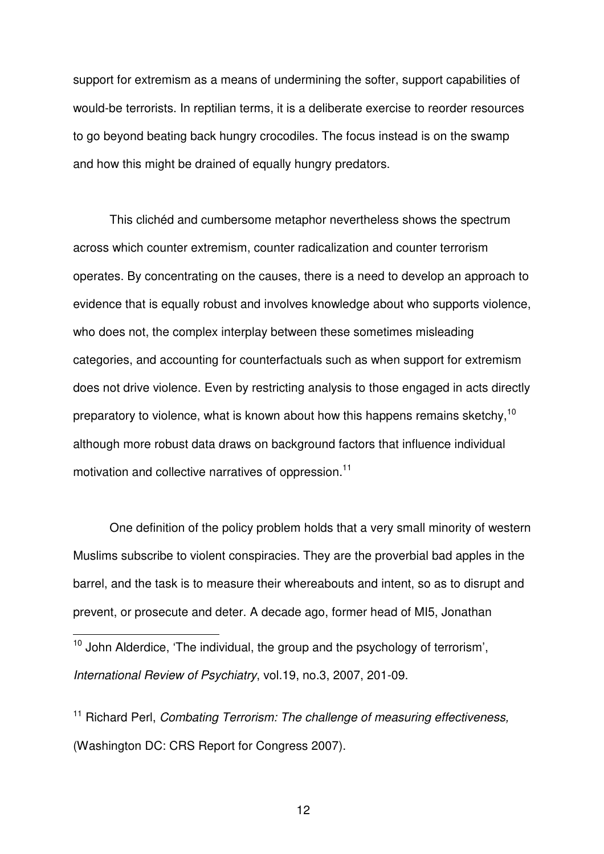support for extremism as a means of undermining the softer, support capabilities of would-be terrorists. In reptilian terms, it is a deliberate exercise to reorder resources to go beyond beating back hungry crocodiles. The focus instead is on the swamp and how this might be drained of equally hungry predators.

This clichéd and cumbersome metaphor nevertheless shows the spectrum across which counter extremism, counter radicalization and counter terrorism operates. By concentrating on the causes, there is a need to develop an approach to evidence that is equally robust and involves knowledge about who supports violence, who does not, the complex interplay between these sometimes misleading categories, and accounting for counterfactuals such as when support for extremism does not drive violence. Even by restricting analysis to those engaged in acts directly preparatory to violence, what is known about how this happens remains sketchy.<sup>10</sup> although more robust data draws on background factors that influence individual motivation and collective narratives of oppression.<sup>11</sup>

One definition of the policy problem holds that a very small minority of western Muslims subscribe to violent conspiracies. They are the proverbial bad apples in the barrel, and the task is to measure their whereabouts and intent, so as to disrupt and prevent, or prosecute and deter. A decade ago, former head of MI5, Jonathan

 $10$  John Alderdice, 'The individual, the group and the psychology of terrorism', *International Review of Psychiatry*, vol.19, no.3, 2007, 201-09.

j

<sup>11</sup> Richard Perl, *Combating Terrorism: The challenge of measuring effectiveness,* (Washington DC: CRS Report for Congress 2007).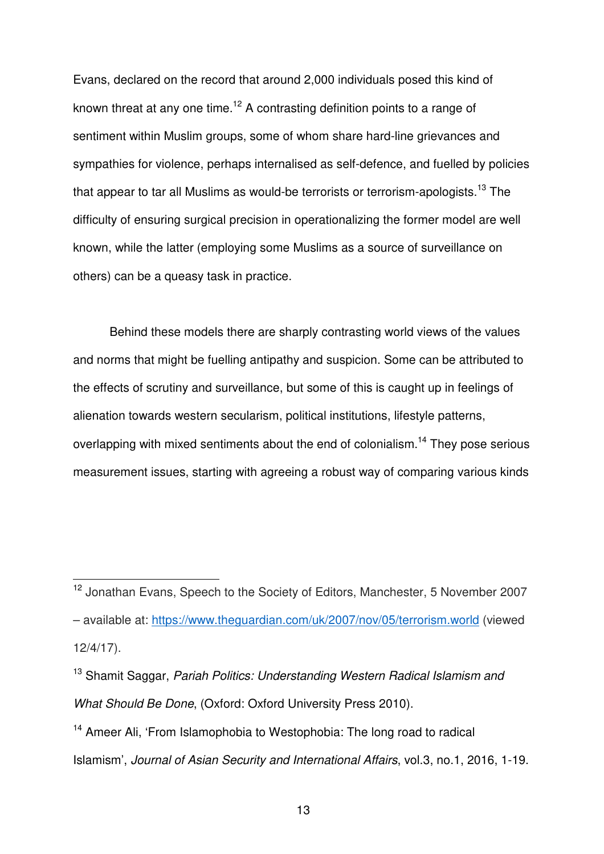Evans, declared on the record that around 2,000 individuals posed this kind of known threat at any one time.<sup>12</sup> A contrasting definition points to a range of sentiment within Muslim groups, some of whom share hard-line grievances and sympathies for violence, perhaps internalised as self-defence, and fuelled by policies that appear to tar all Muslims as would-be terrorists or terrorism-apologists.<sup>13</sup> The difficulty of ensuring surgical precision in operationalizing the former model are well known, while the latter (employing some Muslims as a source of surveillance on others) can be a queasy task in practice.

Behind these models there are sharply contrasting world views of the values and norms that might be fuelling antipathy and suspicion. Some can be attributed to the effects of scrutiny and surveillance, but some of this is caught up in feelings of alienation towards western secularism, political institutions, lifestyle patterns, overlapping with mixed sentiments about the end of colonialism.<sup>14</sup> They pose serious measurement issues, starting with agreeing a robust way of comparing various kinds

j

<sup>12</sup> Jonathan Evans, Speech to the Society of Editors, Manchester, 5 November 2007

<sup>–</sup> available at: https://www.theguardian.com/uk/2007/nov/05/terrorism.world (viewed 12/4/17).

<sup>13</sup> Shamit Saggar, *Pariah Politics: Understanding Western Radical Islamism and What Should Be Done*, (Oxford: Oxford University Press 2010).

<sup>&</sup>lt;sup>14</sup> Ameer Ali, 'From Islamophobia to Westophobia: The long road to radical Islamism', *Journal of Asian Security and International Affairs*, vol.3, no.1, 2016, 1-19.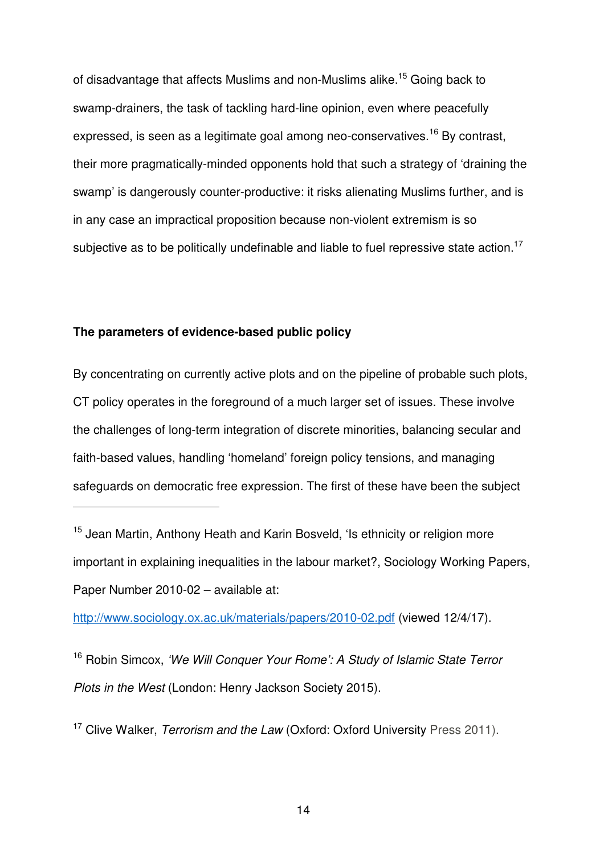of disadvantage that affects Muslims and non-Muslims alike.<sup>15</sup> Going back to swamp-drainers, the task of tackling hard-line opinion, even where peacefully expressed, is seen as a legitimate goal among neo-conservatives.<sup>16</sup> By contrast, their more pragmatically-minded opponents hold that such a strategy of 'draining the swamp' is dangerously counter-productive: it risks alienating Muslims further, and is in any case an impractical proposition because non-violent extremism is so subjective as to be politically undefinable and liable to fuel repressive state action.<sup>17</sup>

# **The parameters of evidence-based public policy**

j

By concentrating on currently active plots and on the pipeline of probable such plots, CT policy operates in the foreground of a much larger set of issues. These involve the challenges of long-term integration of discrete minorities, balancing secular and faith-based values, handling 'homeland' foreign policy tensions, and managing safeguards on democratic free expression. The first of these have been the subject

http://www.sociology.ox.ac.uk/materials/papers/2010-02.pdf (viewed 12/4/17).

<sup>16</sup> Robin Simcox, *'We Will Conquer Your Rome': A Study of Islamic State Terror Plots in the West* (London: Henry Jackson Society 2015).

<sup>17</sup> Clive Walker, *Terrorism and the Law* (Oxford: Oxford University Press 2011).

<sup>&</sup>lt;sup>15</sup> Jean Martin, Anthony Heath and Karin Bosveld, 'Is ethnicity or religion more important in explaining inequalities in the labour market?, Sociology Working Papers, Paper Number 2010-02 – available at: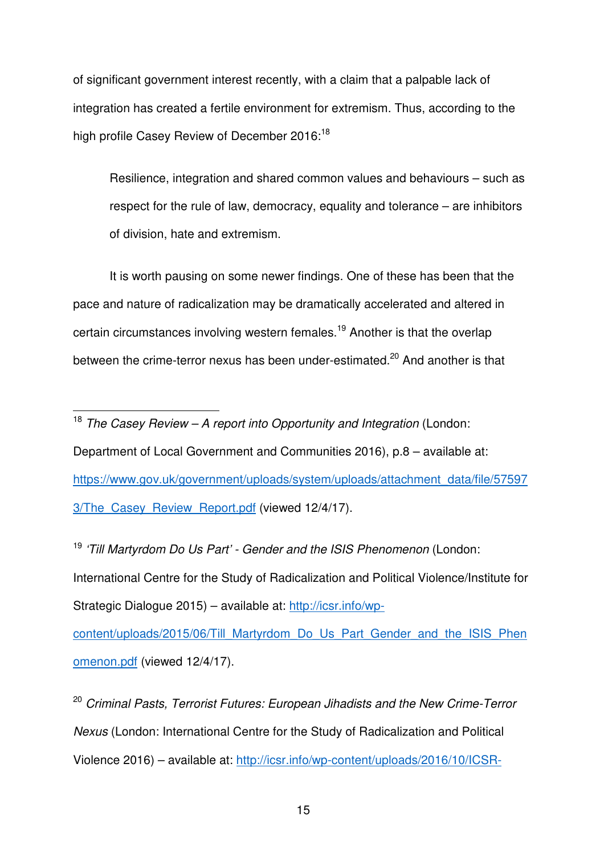of significant government interest recently, with a claim that a palpable lack of integration has created a fertile environment for extremism. Thus, according to the high profile Casey Review of December 2016:<sup>18</sup>

Resilience, integration and shared common values and behaviours – such as respect for the rule of law, democracy, equality and tolerance – are inhibitors of division, hate and extremism.

It is worth pausing on some newer findings. One of these has been that the pace and nature of radicalization may be dramatically accelerated and altered in certain circumstances involving western females.<sup>19</sup> Another is that the overlap between the crime-terror nexus has been under-estimated.<sup>20</sup> And another is that

j

Department of Local Government and Communities 2016), p.8 – available at: https://www.gov.uk/government/uploads/system/uploads/attachment\_data/file/57597 3/The Casey Review Report.pdf (viewed 12/4/17).

<sup>19</sup> *'Till Martyrdom Do Us Part' - Gender and the ISIS Phenomenon* (London: International Centre for the Study of Radicalization and Political Violence/Institute for Strategic Dialogue 2015) – available at: http://icsr.info/wp-

content/uploads/2015/06/Till\_Martyrdom\_Do\_Us\_Part\_Gender\_and\_the\_ISIS\_Phen omenon.pdf (viewed 12/4/17).

<sup>20</sup> *Criminal Pasts, Terrorist Futures: European Jihadists and the New Crime-Terror Nexus* (London: International Centre for the Study of Radicalization and Political Violence 2016) – available at: http://icsr.info/wp-content/uploads/2016/10/ICSR-

<sup>18</sup> *The Casey Review – A report into Opportunity and Integration* (London: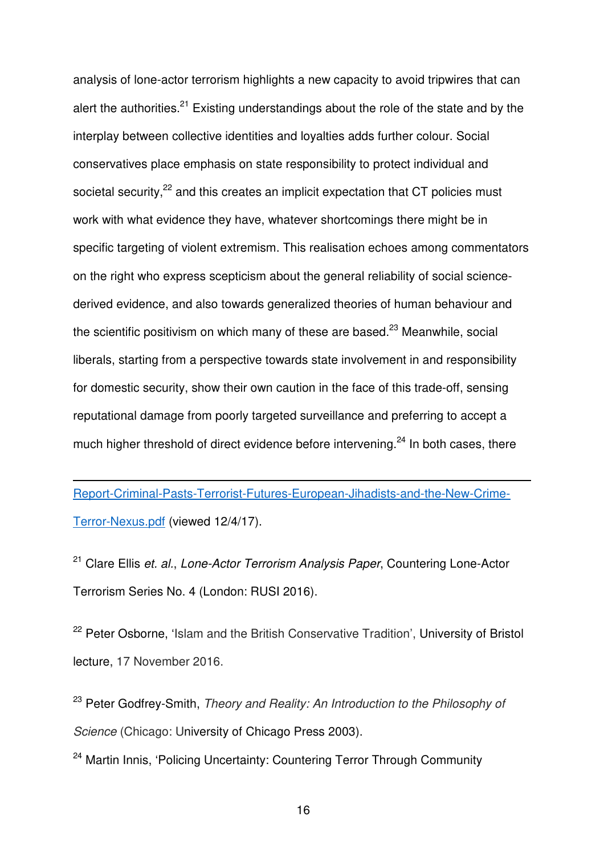analysis of lone-actor terrorism highlights a new capacity to avoid tripwires that can alert the authorities.<sup>21</sup> Existing understandings about the role of the state and by the interplay between collective identities and loyalties adds further colour. Social conservatives place emphasis on state responsibility to protect individual and societal security,<sup>22</sup> and this creates an implicit expectation that CT policies must work with what evidence they have, whatever shortcomings there might be in specific targeting of violent extremism. This realisation echoes among commentators on the right who express scepticism about the general reliability of social sciencederived evidence, and also towards generalized theories of human behaviour and the scientific positivism on which many of these are based. $23$  Meanwhile, social liberals, starting from a perspective towards state involvement in and responsibility for domestic security, show their own caution in the face of this trade-off, sensing reputational damage from poorly targeted surveillance and preferring to accept a much higher threshold of direct evidence before intervening.<sup>24</sup> In both cases, there

Report-Criminal-Pasts-Terrorist-Futures-European-Jihadists-and-the-New-Crime-Terror-Nexus.pdf (viewed 12/4/17).

 $\overline{a}$ 

<sup>21</sup> Clare Ellis *et. al.*, *Lone-Actor Terrorism Analysis Paper*, Countering Lone-Actor Terrorism Series No. 4 (London: RUSI 2016).

<sup>22</sup> Peter Osborne, 'Islam and the British Conservative Tradition', University of Bristol lecture, 17 November 2016.

<sup>23</sup> Peter Godfrey-Smith, *Theory and Reality: An Introduction to the Philosophy of Science* (Chicago: University of Chicago Press 2003).

<sup>24</sup> Martin Innis, 'Policing Uncertainty: Countering Terror Through Community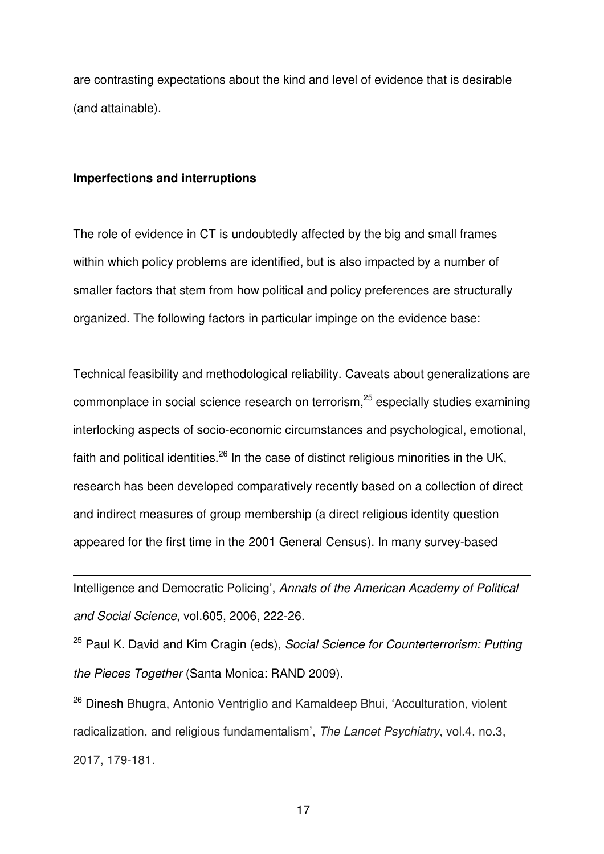are contrasting expectations about the kind and level of evidence that is desirable (and attainable).

#### **Imperfections and interruptions**

 $\overline{a}$ 

The role of evidence in CT is undoubtedly affected by the big and small frames within which policy problems are identified, but is also impacted by a number of smaller factors that stem from how political and policy preferences are structurally organized. The following factors in particular impinge on the evidence base:

Technical feasibility and methodological reliability. Caveats about generalizations are commonplace in social science research on terrorism, <sup>25</sup> especially studies examining interlocking aspects of socio-economic circumstances and psychological, emotional, faith and political identities.<sup>26</sup> In the case of distinct religious minorities in the UK, research has been developed comparatively recently based on a collection of direct and indirect measures of group membership (a direct religious identity question appeared for the first time in the 2001 General Census). In many survey-based

Intelligence and Democratic Policing', *Annals of the American Academy of Political and Social Science*, vol.605, 2006, 222-26.

<sup>25</sup> Paul K. David and Kim Cragin (eds), *Social Science for Counterterrorism: Putting the Pieces Together* (Santa Monica: RAND 2009).

<sup>26</sup> Dinesh Bhugra, Antonio Ventriglio and Kamaldeep Bhui, 'Acculturation, violent radicalization, and religious fundamentalism', *The Lancet Psychiatry*, vol.4, no.3, 2017, 179-181.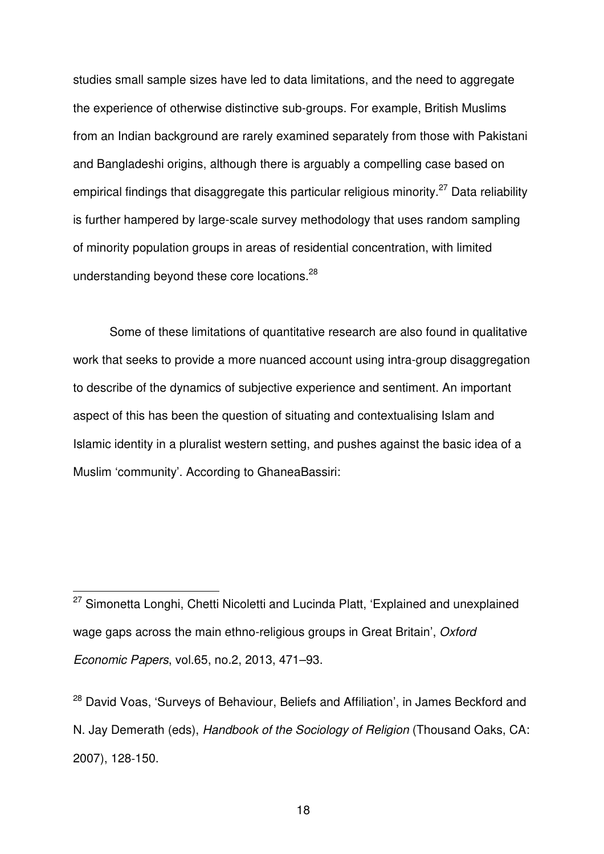studies small sample sizes have led to data limitations, and the need to aggregate the experience of otherwise distinctive sub-groups. For example, British Muslims from an Indian background are rarely examined separately from those with Pakistani and Bangladeshi origins, although there is arguably a compelling case based on empirical findings that disaggregate this particular religious minority.<sup>27</sup> Data reliability is further hampered by large-scale survey methodology that uses random sampling of minority population groups in areas of residential concentration, with limited understanding beyond these core locations.<sup>28</sup>

Some of these limitations of quantitative research are also found in qualitative work that seeks to provide a more nuanced account using intra-group disaggregation to describe of the dynamics of subjective experience and sentiment. An important aspect of this has been the question of situating and contextualising Islam and Islamic identity in a pluralist western setting, and pushes against the basic idea of a Muslim 'community'. According to GhaneaBassiri:

 $\overline{a}$ 

<sup>&</sup>lt;sup>27</sup> Simonetta Longhi, Chetti Nicoletti and Lucinda Platt, 'Explained and unexplained wage gaps across the main ethno-religious groups in Great Britain', *Oxford Economic Papers*, vol.65, no.2, 2013, 471–93.

<sup>&</sup>lt;sup>28</sup> David Voas. 'Surveys of Behaviour, Beliefs and Affiliation', in James Beckford and N. Jay Demerath (eds), *Handbook of the Sociology of Religion* (Thousand Oaks, CA: 2007), 128‐150.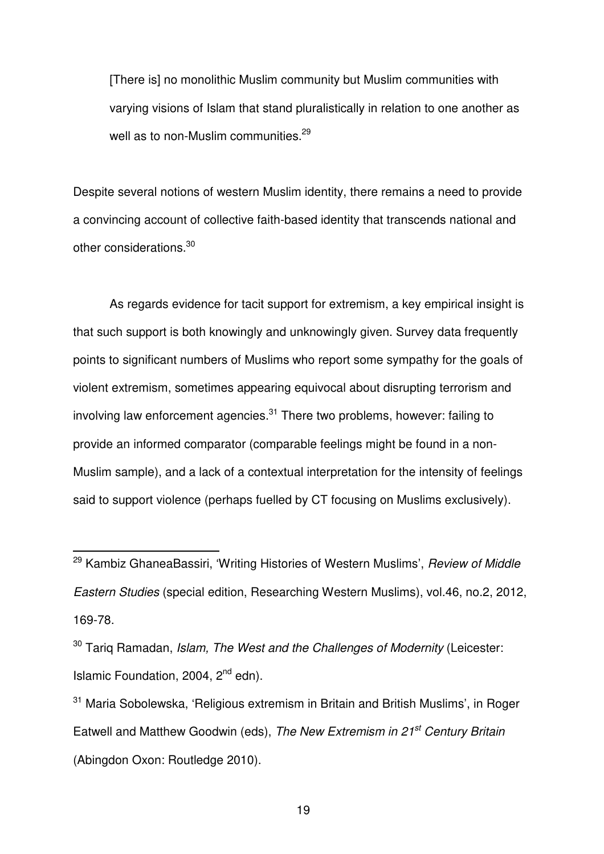[There is] no monolithic Muslim community but Muslim communities with varying visions of Islam that stand pluralistically in relation to one another as well as to non-Muslim communities. $^{29}$ 

Despite several notions of western Muslim identity, there remains a need to provide a convincing account of collective faith-based identity that transcends national and other considerations.<sup>30</sup>

As regards evidence for tacit support for extremism, a key empirical insight is that such support is both knowingly and unknowingly given. Survey data frequently points to significant numbers of Muslims who report some sympathy for the goals of violent extremism, sometimes appearing equivocal about disrupting terrorism and involving law enforcement agencies. $31$  There two problems, however: failing to provide an informed comparator (comparable feelings might be found in a non-Muslim sample), and a lack of a contextual interpretation for the intensity of feelings said to support violence (perhaps fuelled by CT focusing on Muslims exclusively).

 $\overline{a}$ 

<sup>29</sup> Kambiz GhaneaBassiri, 'Writing Histories of Western Muslims', *Review of Middle Eastern Studies* (special edition, Researching Western Muslims), vol.46, no.2, 2012, 169-78.

<sup>30</sup> Tariq Ramadan, *Islam, The West and the Challenges of Modernity* (Leicester: Islamic Foundation, 2004,  $2<sup>nd</sup>$  edn).

<sup>&</sup>lt;sup>31</sup> Maria Sobolewska, 'Religious extremism in Britain and British Muslims', in Roger Eatwell and Matthew Goodwin (eds), *The New Extremism in 21st Century Britain* (Abingdon Oxon: Routledge 2010).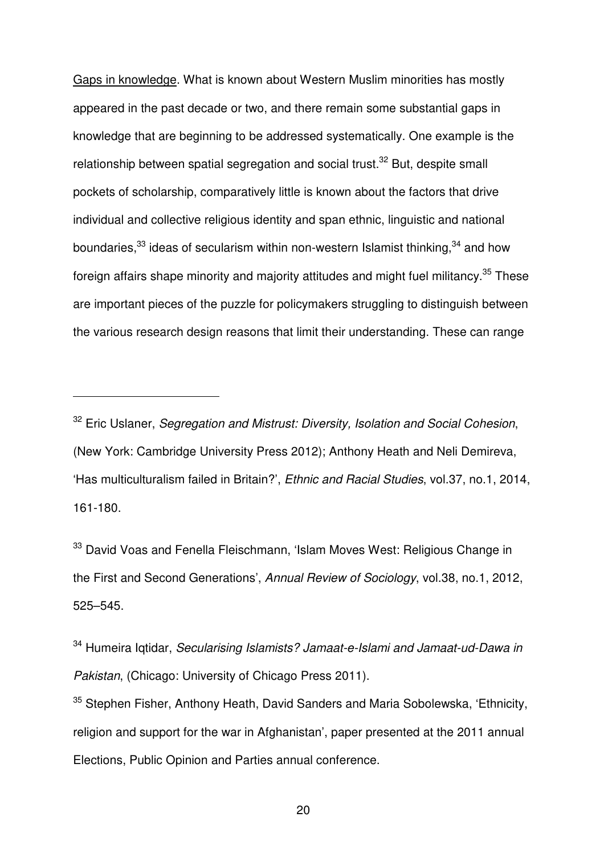Gaps in knowledge. What is known about Western Muslim minorities has mostly appeared in the past decade or two, and there remain some substantial gaps in knowledge that are beginning to be addressed systematically. One example is the relationship between spatial segregation and social trust.<sup>32</sup> But, despite small pockets of scholarship, comparatively little is known about the factors that drive individual and collective religious identity and span ethnic, linguistic and national boundaries, $33$  ideas of secularism within non-western Islamist thinking,  $34$  and how foreign affairs shape minority and majority attitudes and might fuel militancy.<sup>35</sup> These are important pieces of the puzzle for policymakers struggling to distinguish between the various research design reasons that limit their understanding. These can range

j

<sup>33</sup> David Voas and Fenella Fleischmann, 'Islam Moves West: Religious Change in the First and Second Generations', *Annual Review of Sociology*, vol.38, no.1, 2012, 525–545.

<sup>34</sup> Humeira Iqtidar, *Secularising Islamists? Jamaat-e-Islami and Jamaat-ud-Dawa in Pakistan*, (Chicago: University of Chicago Press 2011).

<sup>35</sup> Stephen Fisher, Anthony Heath, David Sanders and Maria Sobolewska, 'Ethnicity, religion and support for the war in Afghanistan', paper presented at the 2011 annual Elections, Public Opinion and Parties annual conference.

<sup>32</sup> Eric Uslaner, *Segregation and Mistrust: Diversity, Isolation and Social Cohesion*, (New York: Cambridge University Press 2012); Anthony Heath and Neli Demireva, 'Has multiculturalism failed in Britain?', *Ethnic and Racial Studies*, vol.37, no.1, 2014, 161-180.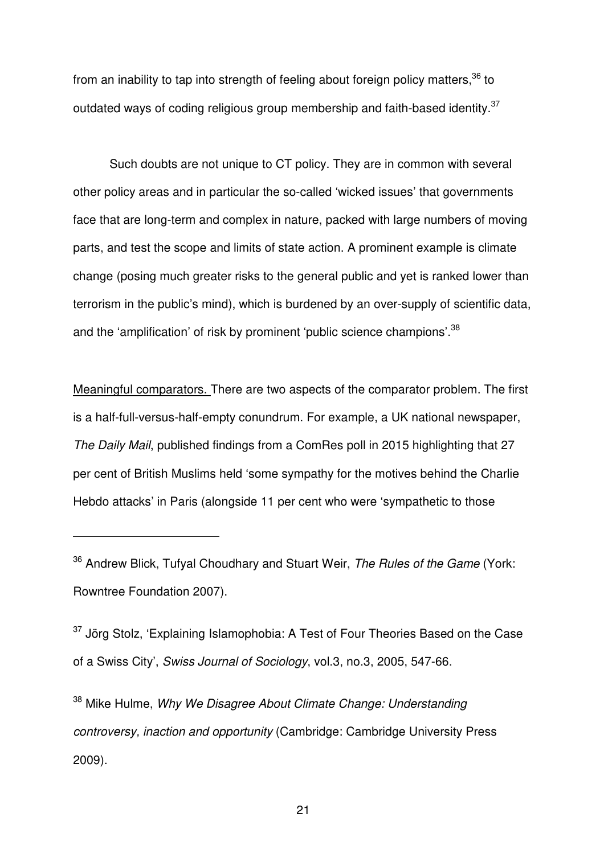from an inability to tap into strength of feeling about foreign policy matters.<sup>36</sup> to outdated ways of coding religious group membership and faith-based identity.<sup>37</sup>

Such doubts are not unique to CT policy. They are in common with several other policy areas and in particular the so-called 'wicked issues' that governments face that are long-term and complex in nature, packed with large numbers of moving parts, and test the scope and limits of state action. A prominent example is climate change (posing much greater risks to the general public and yet is ranked lower than terrorism in the public's mind), which is burdened by an over-supply of scientific data, and the 'amplification' of risk by prominent 'public science champions'.<sup>38</sup>

Meaningful comparators. There are two aspects of the comparator problem. The first is a half-full-versus-half-empty conundrum. For example, a UK national newspaper, *The Daily Mail*, published findings from a ComRes poll in 2015 highlighting that 27 per cent of British Muslims held 'some sympathy for the motives behind the Charlie Hebdo attacks' in Paris (alongside 11 per cent who were 'sympathetic to those

j

 $37$  Jörg Stolz, 'Explaining Islamophobia: A Test of Four Theories Based on the Case of a Swiss City', *Swiss Journal of Sociology*, vol.3, no.3, 2005, 547-66.

<sup>38</sup> Mike Hulme, *Why We Disagree About Climate Change: Understanding controversy, inaction and opportunity* (Cambridge: Cambridge University Press 2009).

<sup>36</sup> Andrew Blick, Tufyal Choudhary and Stuart Weir, *The Rules of the Game* (York: Rowntree Foundation 2007).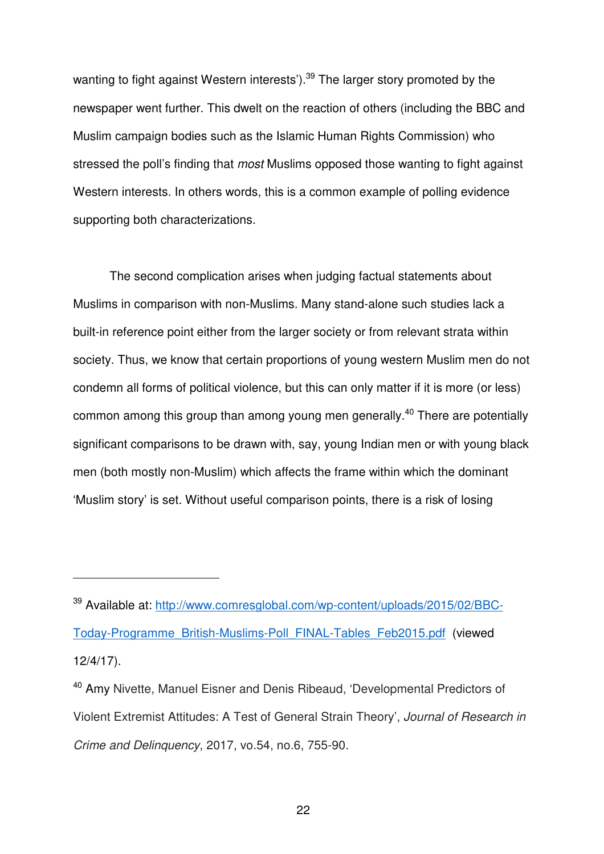wanting to fight against Western interests').<sup>39</sup> The larger story promoted by the newspaper went further. This dwelt on the reaction of others (including the BBC and Muslim campaign bodies such as the Islamic Human Rights Commission) who stressed the poll's finding that *most* Muslims opposed those wanting to fight against Western interests. In others words, this is a common example of polling evidence supporting both characterizations.

The second complication arises when judging factual statements about Muslims in comparison with non-Muslims. Many stand-alone such studies lack a built-in reference point either from the larger society or from relevant strata within society. Thus, we know that certain proportions of young western Muslim men do not condemn all forms of political violence, but this can only matter if it is more (or less) common among this group than among young men generally.<sup>40</sup> There are potentially significant comparisons to be drawn with, say, young Indian men or with young black men (both mostly non-Muslim) which affects the frame within which the dominant 'Muslim story' is set. Without useful comparison points, there is a risk of losing

j

<sup>39</sup> Available at: http://www.comresglobal.com/wp-content/uploads/2015/02/BBC-Today-Programme\_British-Muslims-Poll\_FINAL-Tables\_Feb2015.pdf (viewed 12/4/17).

<sup>40</sup> Amy Nivette, Manuel Eisner and Denis Ribeaud, 'Developmental Predictors of Violent Extremist Attitudes: A Test of General Strain Theory', *Journal of Research in Crime and Delinquency*, 2017, vo.54, no.6, 755-90.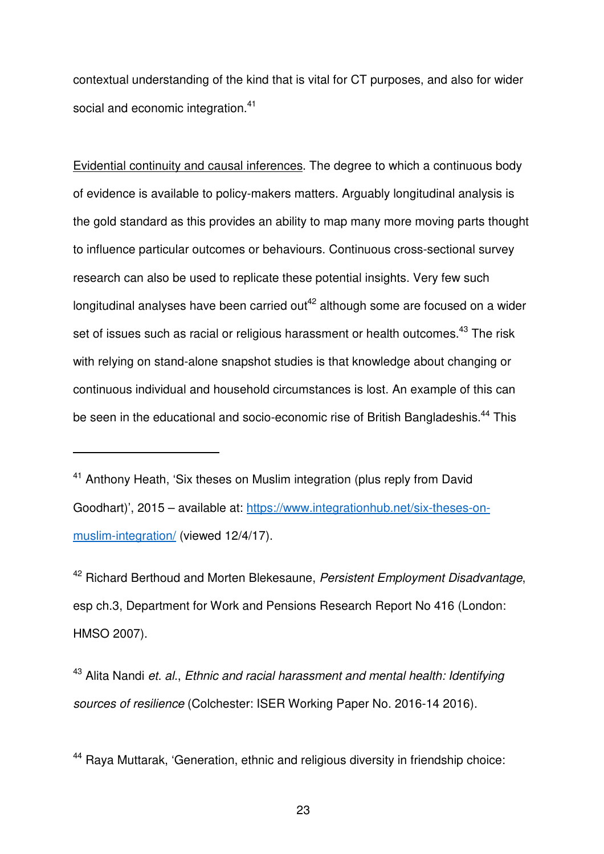contextual understanding of the kind that is vital for CT purposes, and also for wider social and economic integration.<sup>41</sup>

Evidential continuity and causal inferences. The degree to which a continuous body of evidence is available to policy-makers matters. Arguably longitudinal analysis is the gold standard as this provides an ability to map many more moving parts thought to influence particular outcomes or behaviours. Continuous cross-sectional survey research can also be used to replicate these potential insights. Very few such longitudinal analyses have been carried out<sup>42</sup> although some are focused on a wider set of issues such as racial or religious harassment or health outcomes.<sup>43</sup> The risk with relying on stand-alone snapshot studies is that knowledge about changing or continuous individual and household circumstances is lost. An example of this can be seen in the educational and socio-economic rise of British Bangladeshis.<sup>44</sup> This

j

<sup>42</sup> Richard Berthoud and Morten Blekesaune, *Persistent Employment Disadvantage*, esp ch.3, Department for Work and Pensions Research Report No 416 (London: HMSO 2007).

<sup>43</sup> Alita Nandi *et. al.*, *Ethnic and racial harassment and mental health: Identifying sources of resilience* (Colchester: ISER Working Paper No. 2016-14 2016).

<sup>44</sup> Raya Muttarak, 'Generation, ethnic and religious diversity in friendship choice:

<sup>&</sup>lt;sup>41</sup> Anthony Heath, 'Six theses on Muslim integration (plus reply from David Goodhart)', 2015 – available at: https://www.integrationhub.net/six-theses-onmuslim-integration/ (viewed 12/4/17).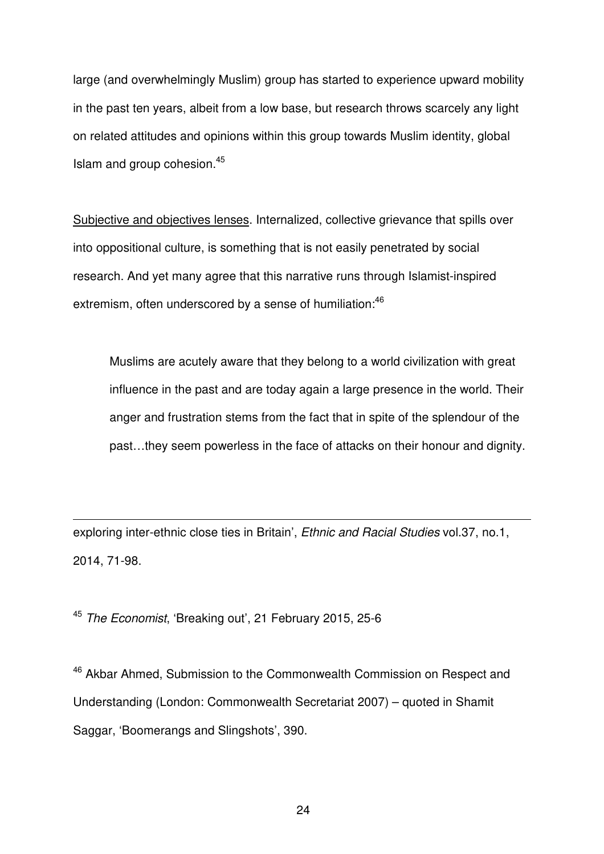large (and overwhelmingly Muslim) group has started to experience upward mobility in the past ten years, albeit from a low base, but research throws scarcely any light on related attitudes and opinions within this group towards Muslim identity, global Islam and group cohesion.<sup>45</sup>

Subjective and objectives lenses. Internalized, collective grievance that spills over into oppositional culture, is something that is not easily penetrated by social research. And yet many agree that this narrative runs through Islamist-inspired extremism, often underscored by a sense of humiliation:<sup>46</sup>

Muslims are acutely aware that they belong to a world civilization with great influence in the past and are today again a large presence in the world. Their anger and frustration stems from the fact that in spite of the splendour of the past…they seem powerless in the face of attacks on their honour and dignity.

exploring inter-ethnic close ties in Britain', *Ethnic and Racial Studies* vol.37, no.1, 2014, 71-98.

<sup>45</sup> *The Economist*, 'Breaking out', 21 February 2015, 25-6

 $\overline{a}$ 

<sup>46</sup> Akbar Ahmed. Submission to the Commonwealth Commission on Respect and Understanding (London: Commonwealth Secretariat 2007) – quoted in Shamit Saggar, 'Boomerangs and Slingshots', 390.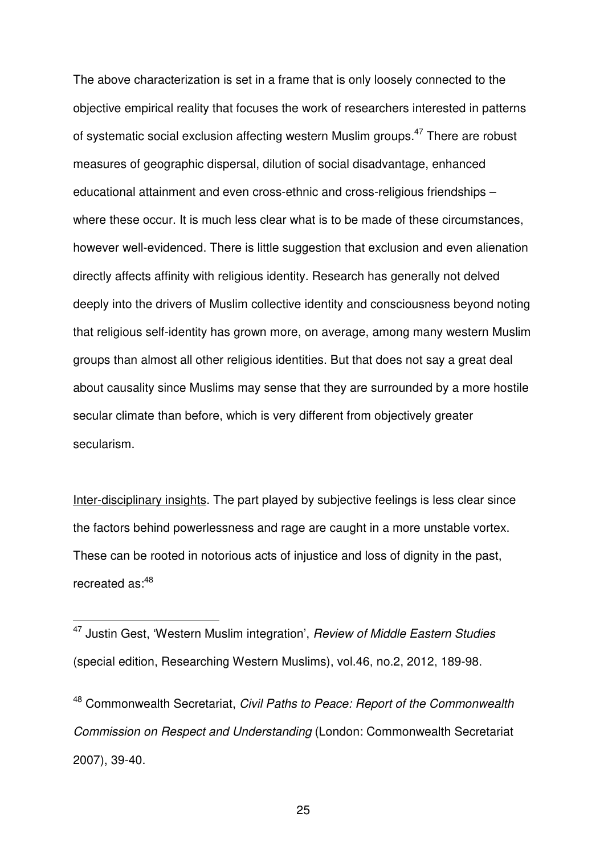The above characterization is set in a frame that is only loosely connected to the objective empirical reality that focuses the work of researchers interested in patterns of systematic social exclusion affecting western Muslim groups.<sup>47</sup> There are robust measures of geographic dispersal, dilution of social disadvantage, enhanced educational attainment and even cross-ethnic and cross-religious friendships – where these occur. It is much less clear what is to be made of these circumstances, however well-evidenced. There is little suggestion that exclusion and even alienation directly affects affinity with religious identity. Research has generally not delved deeply into the drivers of Muslim collective identity and consciousness beyond noting that religious self-identity has grown more, on average, among many western Muslim groups than almost all other religious identities. But that does not say a great deal about causality since Muslims may sense that they are surrounded by a more hostile secular climate than before, which is very different from objectively greater secularism.

Inter-disciplinary insights. The part played by subjective feelings is less clear since the factors behind powerlessness and rage are caught in a more unstable vortex. These can be rooted in notorious acts of injustice and loss of dignity in the past, recreated as:<sup>48</sup>

 $\overline{a}$ 

<sup>48</sup> Commonwealth Secretariat, *Civil Paths to Peace: Report of the Commonwealth Commission on Respect and Understanding* (London: Commonwealth Secretariat 2007), 39-40.

<sup>47</sup> Justin Gest, 'Western Muslim integration', *Review of Middle Eastern Studies* (special edition, Researching Western Muslims), vol.46, no.2, 2012, 189-98.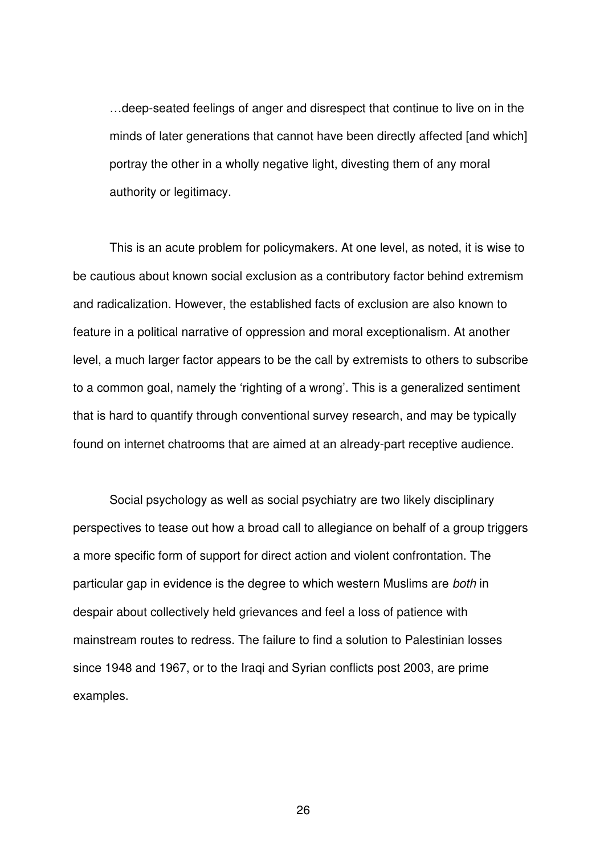…deep-seated feelings of anger and disrespect that continue to live on in the minds of later generations that cannot have been directly affected [and which] portray the other in a wholly negative light, divesting them of any moral authority or legitimacy.

This is an acute problem for policymakers. At one level, as noted, it is wise to be cautious about known social exclusion as a contributory factor behind extremism and radicalization. However, the established facts of exclusion are also known to feature in a political narrative of oppression and moral exceptionalism. At another level, a much larger factor appears to be the call by extremists to others to subscribe to a common goal, namely the 'righting of a wrong'. This is a generalized sentiment that is hard to quantify through conventional survey research, and may be typically found on internet chatrooms that are aimed at an already-part receptive audience.

Social psychology as well as social psychiatry are two likely disciplinary perspectives to tease out how a broad call to allegiance on behalf of a group triggers a more specific form of support for direct action and violent confrontation. The particular gap in evidence is the degree to which western Muslims are *both* in despair about collectively held grievances and feel a loss of patience with mainstream routes to redress. The failure to find a solution to Palestinian losses since 1948 and 1967, or to the Iraqi and Syrian conflicts post 2003, are prime examples.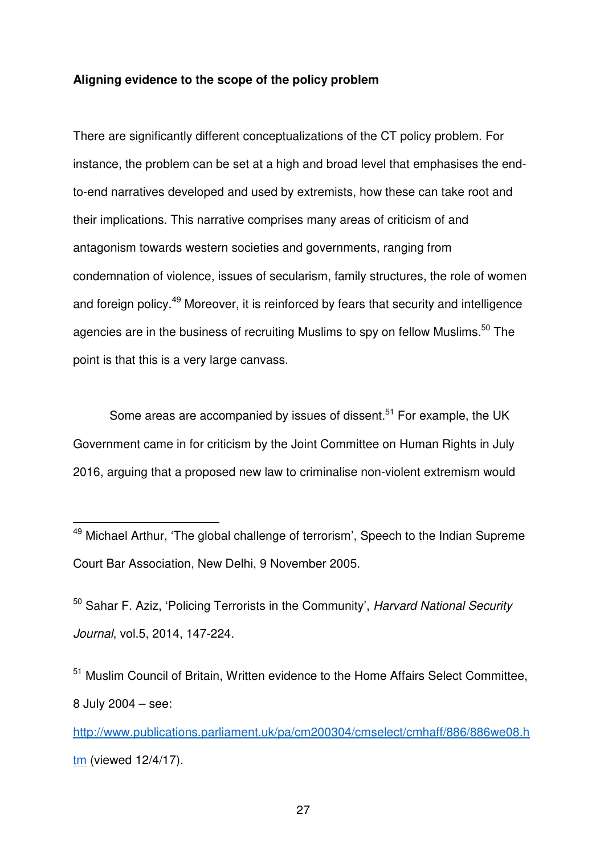## **Aligning evidence to the scope of the policy problem**

There are significantly different conceptualizations of the CT policy problem. For instance, the problem can be set at a high and broad level that emphasises the endto-end narratives developed and used by extremists, how these can take root and their implications. This narrative comprises many areas of criticism of and antagonism towards western societies and governments, ranging from condemnation of violence, issues of secularism, family structures, the role of women and foreign policy.<sup>49</sup> Moreover, it is reinforced by fears that security and intelligence agencies are in the business of recruiting Muslims to spy on fellow Muslims.<sup>50</sup> The point is that this is a very large canvass.

Some areas are accompanied by issues of dissent.<sup>51</sup> For example, the UK Government came in for criticism by the Joint Committee on Human Rights in July 2016, arguing that a proposed new law to criminalise non-violent extremism would

 $\overline{a}$ 

<sup>50</sup> Sahar F. Aziz, 'Policing Terrorists in the Community', *Harvard National Security Journal*, vol.5, 2014, 147-224.

<sup>51</sup> Muslim Council of Britain, Written evidence to the Home Affairs Select Committee, 8 July 2004 – see:

http://www.publications.parliament.uk/pa/cm200304/cmselect/cmhaff/886/886we08.h tm (viewed 12/4/17).

<sup>&</sup>lt;sup>49</sup> Michael Arthur, 'The global challenge of terrorism', Speech to the Indian Supreme Court Bar Association, New Delhi, 9 November 2005.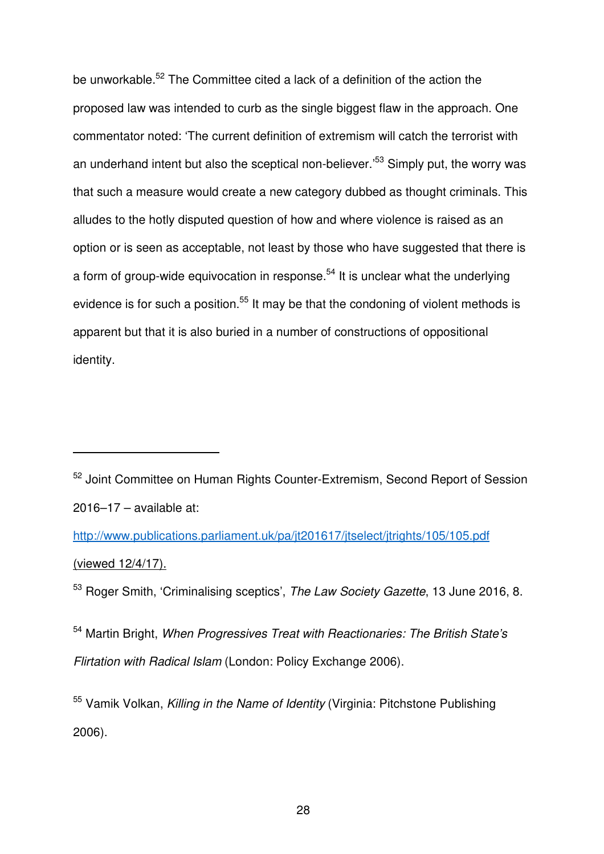be unworkable.<sup>52</sup> The Committee cited a lack of a definition of the action the proposed law was intended to curb as the single biggest flaw in the approach. One commentator noted: 'The current definition of extremism will catch the terrorist with an underhand intent but also the sceptical non-believer.<sup>53</sup> Simply put, the worry was that such a measure would create a new category dubbed as thought criminals. This alludes to the hotly disputed question of how and where violence is raised as an option or is seen as acceptable, not least by those who have suggested that there is a form of group-wide equivocation in response.<sup>54</sup> It is unclear what the underlying evidence is for such a position.<sup>55</sup> It may be that the condoning of violent methods is apparent but that it is also buried in a number of constructions of oppositional identity.

j

<sup>52</sup> Joint Committee on Human Rights Counter-Extremism, Second Report of Session 2016–17 – available at:

http://www.publications.parliament.uk/pa/jt201617/jtselect/jtrights/105/105.pdf (viewed 12/4/17).

<sup>53</sup> Roger Smith, 'Criminalising sceptics', *The Law Society Gazette*, 13 June 2016, 8.

<sup>54</sup> Martin Bright, *When Progressives Treat with Reactionaries: The British State's Flirtation with Radical Islam* (London: Policy Exchange 2006).

<sup>55</sup> Vamik Volkan, *Killing in the Name of Identity* (Virginia: Pitchstone Publishing 2006).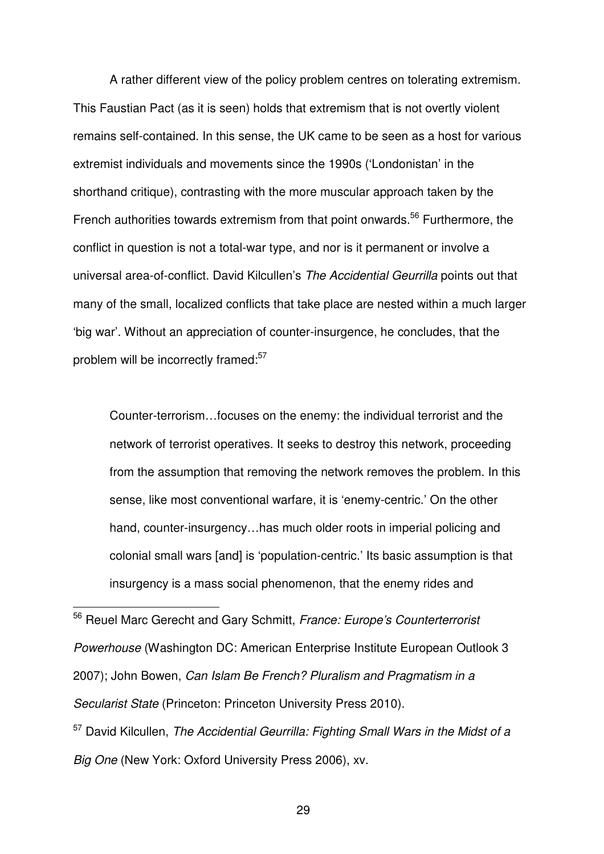A rather different view of the policy problem centres on tolerating extremism. This Faustian Pact (as it is seen) holds that extremism that is not overtly violent remains self-contained. In this sense, the UK came to be seen as a host for various extremist individuals and movements since the 1990s ('Londonistan' in the shorthand critique), contrasting with the more muscular approach taken by the French authorities towards extremism from that point onwards.<sup>56</sup> Furthermore, the conflict in question is not a total-war type, and nor is it permanent or involve a universal area-of-conflict. David Kilcullen's *The Accidential Geurrilla* points out that many of the small, localized conflicts that take place are nested within a much larger 'big war'. Without an appreciation of counter-insurgence, he concludes, that the problem will be incorrectly framed:<sup>57</sup>

Counter-terrorism…focuses on the enemy: the individual terrorist and the network of terrorist operatives. It seeks to destroy this network, proceeding from the assumption that removing the network removes the problem. In this sense, like most conventional warfare, it is 'enemy-centric.' On the other hand, counter-insurgency…has much older roots in imperial policing and colonial small wars [and] is 'population-centric.' Its basic assumption is that insurgency is a mass social phenomenon, that the enemy rides and

<sup>56</sup> Reuel Marc Gerecht and Gary Schmitt, *France: Europe's Counterterrorist Powerhouse* (Washington DC: American Enterprise Institute European Outlook 3 2007); John Bowen, *Can Islam Be French? Pluralism and Pragmatism in a Secularist State* (Princeton: Princeton University Press 2010). <sup>57</sup> David Kilcullen, *The Accidential Geurrilla: Fighting Small Wars in the Midst of a* 

*Big One* (New York: Oxford University Press 2006), xv.

 $\overline{a}$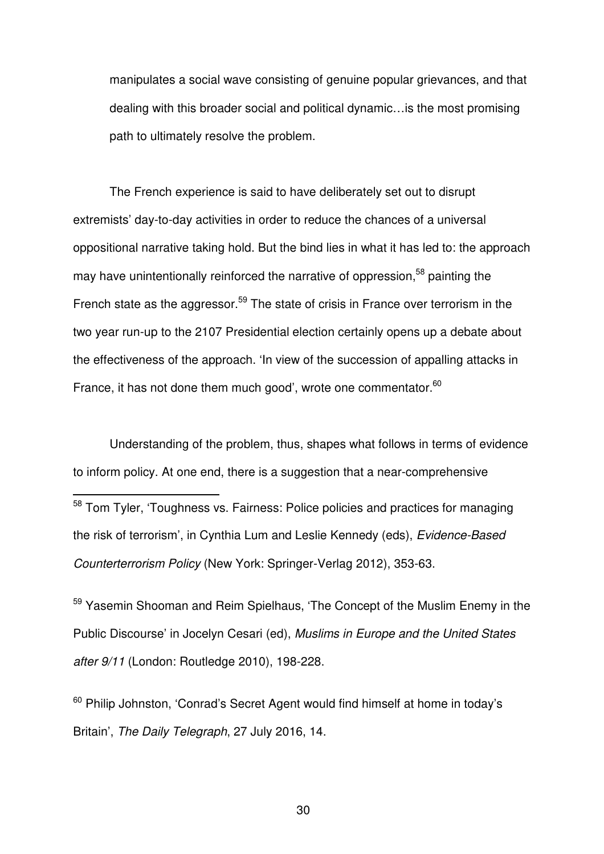manipulates a social wave consisting of genuine popular grievances, and that dealing with this broader social and political dynamic…is the most promising path to ultimately resolve the problem.

The French experience is said to have deliberately set out to disrupt extremists' day-to-day activities in order to reduce the chances of a universal oppositional narrative taking hold. But the bind lies in what it has led to: the approach may have unintentionally reinforced the narrative of oppression.<sup>58</sup> painting the French state as the aggressor.<sup>59</sup> The state of crisis in France over terrorism in the two year run-up to the 2107 Presidential election certainly opens up a debate about the effectiveness of the approach. 'In view of the succession of appalling attacks in France, it has not done them much good', wrote one commentator.<sup>60</sup>

Understanding of the problem, thus, shapes what follows in terms of evidence to inform policy. At one end, there is a suggestion that a near-comprehensive

j

<sup>59</sup> Yasemin Shooman and Reim Spielhaus, 'The Concept of the Muslim Enemy in the Public Discourse' in Jocelyn Cesari (ed), *Muslims in Europe and the United States after 9/11* (London: Routledge 2010), 198-228.

 $60$  Philip Johnston, 'Conrad's Secret Agent would find himself at home in today's Britain', *The Daily Telegraph*, 27 July 2016, 14.

<sup>&</sup>lt;sup>58</sup> Tom Tyler, 'Toughness vs. Fairness: Police policies and practices for managing the risk of terrorism', in Cynthia Lum and Leslie Kennedy (eds), *Evidence-Based Counterterrorism Policy* (New York: Springer-Verlag 2012), 353-63.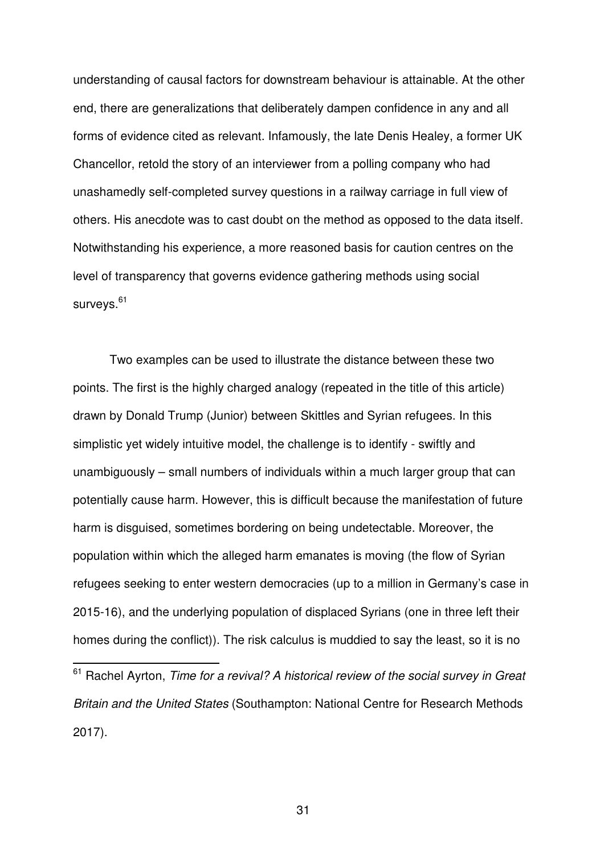understanding of causal factors for downstream behaviour is attainable. At the other end, there are generalizations that deliberately dampen confidence in any and all forms of evidence cited as relevant. Infamously, the late Denis Healey, a former UK Chancellor, retold the story of an interviewer from a polling company who had unashamedly self-completed survey questions in a railway carriage in full view of others. His anecdote was to cast doubt on the method as opposed to the data itself. Notwithstanding his experience, a more reasoned basis for caution centres on the level of transparency that governs evidence gathering methods using social surveys.<sup>61</sup>

Two examples can be used to illustrate the distance between these two points. The first is the highly charged analogy (repeated in the title of this article) drawn by Donald Trump (Junior) between Skittles and Syrian refugees. In this simplistic yet widely intuitive model, the challenge is to identify - swiftly and unambiguously – small numbers of individuals within a much larger group that can potentially cause harm. However, this is difficult because the manifestation of future harm is disguised, sometimes bordering on being undetectable. Moreover, the population within which the alleged harm emanates is moving (the flow of Syrian refugees seeking to enter western democracies (up to a million in Germany's case in 2015-16), and the underlying population of displaced Syrians (one in three left their homes during the conflict)). The risk calculus is muddied to say the least, so it is no

j

<sup>61</sup> Rachel Ayrton, *Time for a revival? A historical review of the social survey in Great Britain and the United States* (Southampton: National Centre for Research Methods 2017).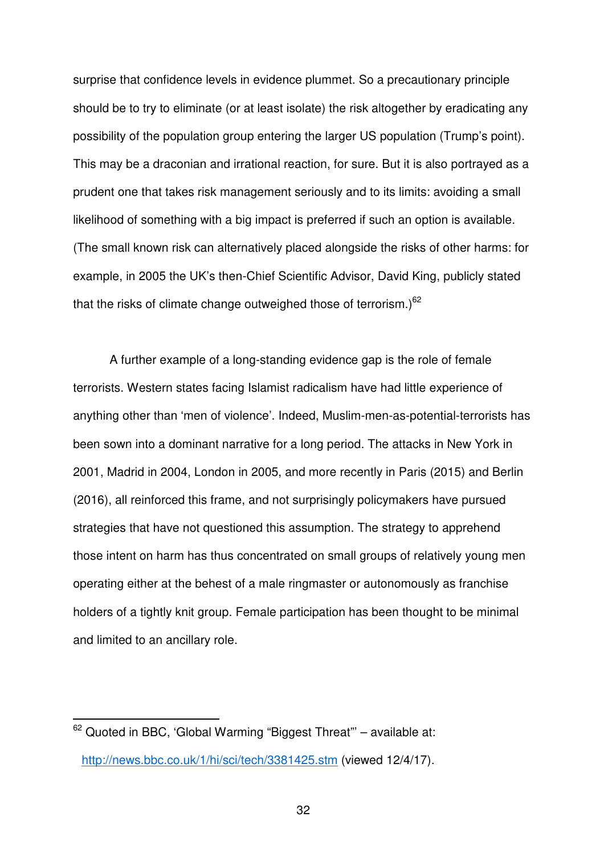surprise that confidence levels in evidence plummet. So a precautionary principle should be to try to eliminate (or at least isolate) the risk altogether by eradicating any possibility of the population group entering the larger US population (Trump's point). This may be a draconian and irrational reaction, for sure. But it is also portrayed as a prudent one that takes risk management seriously and to its limits: avoiding a small likelihood of something with a big impact is preferred if such an option is available. (The small known risk can alternatively placed alongside the risks of other harms: for example, in 2005 the UK's then-Chief Scientific Advisor, David King, publicly stated that the risks of climate change outweighed those of terrorism.) $62$ 

A further example of a long-standing evidence gap is the role of female terrorists. Western states facing Islamist radicalism have had little experience of anything other than 'men of violence'. Indeed, Muslim-men-as-potential-terrorists has been sown into a dominant narrative for a long period. The attacks in New York in 2001, Madrid in 2004, London in 2005, and more recently in Paris (2015) and Berlin (2016), all reinforced this frame, and not surprisingly policymakers have pursued strategies that have not questioned this assumption. The strategy to apprehend those intent on harm has thus concentrated on small groups of relatively young men operating either at the behest of a male ringmaster or autonomously as franchise holders of a tightly knit group. Female participation has been thought to be minimal and limited to an ancillary role.

j

 $62$  Quoted in BBC, 'Global Warming "Biggest Threat"' – available at: http://news.bbc.co.uk/1/hi/sci/tech/3381425.stm (viewed 12/4/17).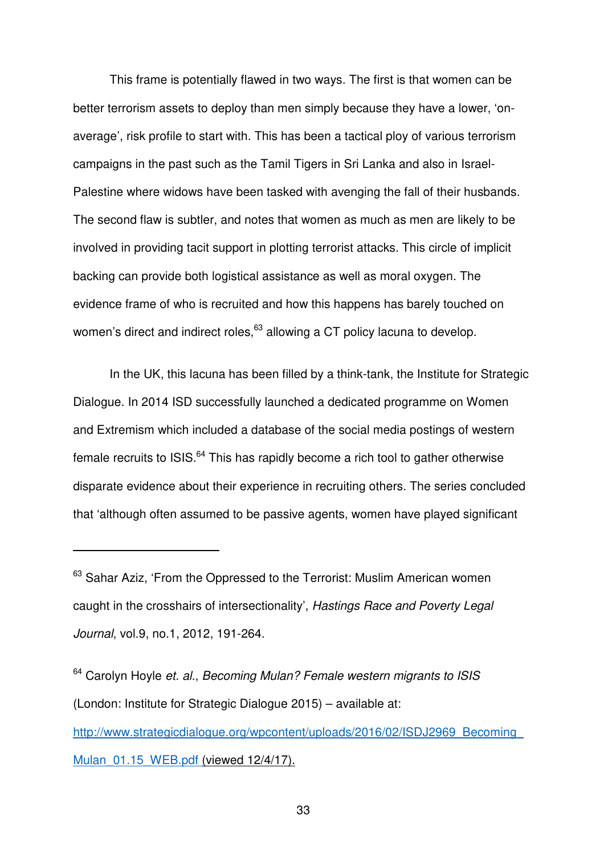This frame is potentially flawed in two ways. The first is that women can be better terrorism assets to deploy than men simply because they have a lower, 'onaverage', risk profile to start with. This has been a tactical ploy of various terrorism campaigns in the past such as the Tamil Tigers in Sri Lanka and also in Israel-Palestine where widows have been tasked with avenging the fall of their husbands. The second flaw is subtler, and notes that women as much as men are likely to be involved in providing tacit support in plotting terrorist attacks. This circle of implicit backing can provide both logistical assistance as well as moral oxygen. The evidence frame of who is recruited and how this happens has barely touched on women's direct and indirect roles,<sup>63</sup> allowing a CT policy lacuna to develop.

In the UK, this lacuna has been filled by a think-tank, the Institute for Strategic Dialogue. In 2014 ISD successfully launched a dedicated programme on Women and Extremism which included a database of the social media postings of western female recruits to ISIS.<sup>64</sup> This has rapidly become a rich tool to gather otherwise disparate evidence about their experience in recruiting others. The series concluded that 'although often assumed to be passive agents, women have played significant

j

<sup>64</sup> Carolyn Hoyle *et. al.*, *Becoming Mulan? Female western migrants to ISIS* (London: Institute for Strategic Dialogue 2015) – available at: http://www.strategicdialogue.org/wpcontent/uploads/2016/02/ISDJ2969\_Becoming\_ Mulan 01.15 WEB.pdf (viewed 12/4/17).

<sup>&</sup>lt;sup>63</sup> Sahar Aziz, 'From the Oppressed to the Terrorist: Muslim American women caught in the crosshairs of intersectionality', *Hastings Race and Poverty Legal Journal*, vol.9, no.1, 2012, 191-264.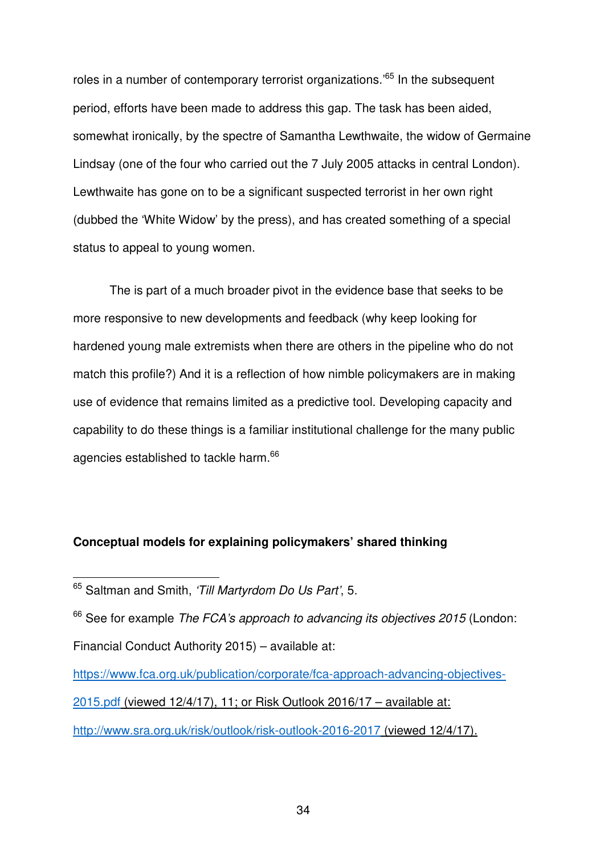roles in a number of contemporary terrorist organizations.<sup>65</sup> In the subsequent period, efforts have been made to address this gap. The task has been aided, somewhat ironically, by the spectre of Samantha Lewthwaite, the widow of Germaine Lindsay (one of the four who carried out the 7 July 2005 attacks in central London). Lewthwaite has gone on to be a significant suspected terrorist in her own right (dubbed the 'White Widow' by the press), and has created something of a special status to appeal to young women.

The is part of a much broader pivot in the evidence base that seeks to be more responsive to new developments and feedback (why keep looking for hardened young male extremists when there are others in the pipeline who do not match this profile?) And it is a reflection of how nimble policymakers are in making use of evidence that remains limited as a predictive tool. Developing capacity and capability to do these things is a familiar institutional challenge for the many public agencies established to tackle harm.<sup>66</sup>

# **Conceptual models for explaining policymakers' shared thinking**

 $\overline{a}$ 

<sup>66</sup> See for example *The FCA's approach to advancing its objectives 2015* (London: Financial Conduct Authority 2015) – available at:

https://www.fca.org.uk/publication/corporate/fca-approach-advancing-objectives-2015.pdf (viewed 12/4/17), 11; or Risk Outlook 2016/17 – available at: http://www.sra.org.uk/risk/outlook/risk-outlook-2016-2017 (viewed 12/4/17).

<sup>65</sup> Saltman and Smith, *'Till Martyrdom Do Us Part'*, 5.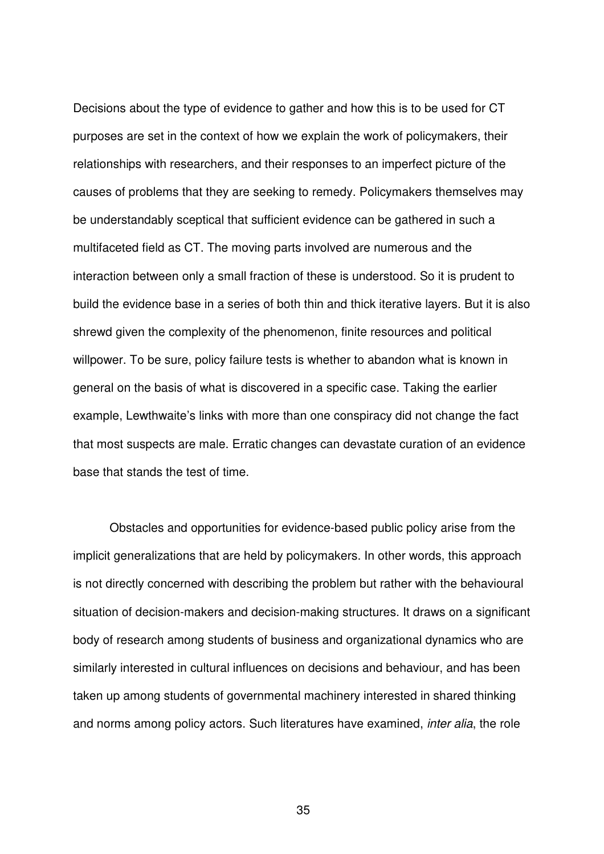Decisions about the type of evidence to gather and how this is to be used for CT purposes are set in the context of how we explain the work of policymakers, their relationships with researchers, and their responses to an imperfect picture of the causes of problems that they are seeking to remedy. Policymakers themselves may be understandably sceptical that sufficient evidence can be gathered in such a multifaceted field as CT. The moving parts involved are numerous and the interaction between only a small fraction of these is understood. So it is prudent to build the evidence base in a series of both thin and thick iterative layers. But it is also shrewd given the complexity of the phenomenon, finite resources and political willpower. To be sure, policy failure tests is whether to abandon what is known in general on the basis of what is discovered in a specific case. Taking the earlier example, Lewthwaite's links with more than one conspiracy did not change the fact that most suspects are male. Erratic changes can devastate curation of an evidence base that stands the test of time.

Obstacles and opportunities for evidence-based public policy arise from the implicit generalizations that are held by policymakers. In other words, this approach is not directly concerned with describing the problem but rather with the behavioural situation of decision-makers and decision-making structures. It draws on a significant body of research among students of business and organizational dynamics who are similarly interested in cultural influences on decisions and behaviour, and has been taken up among students of governmental machinery interested in shared thinking and norms among policy actors. Such literatures have examined, *inter alia*, the role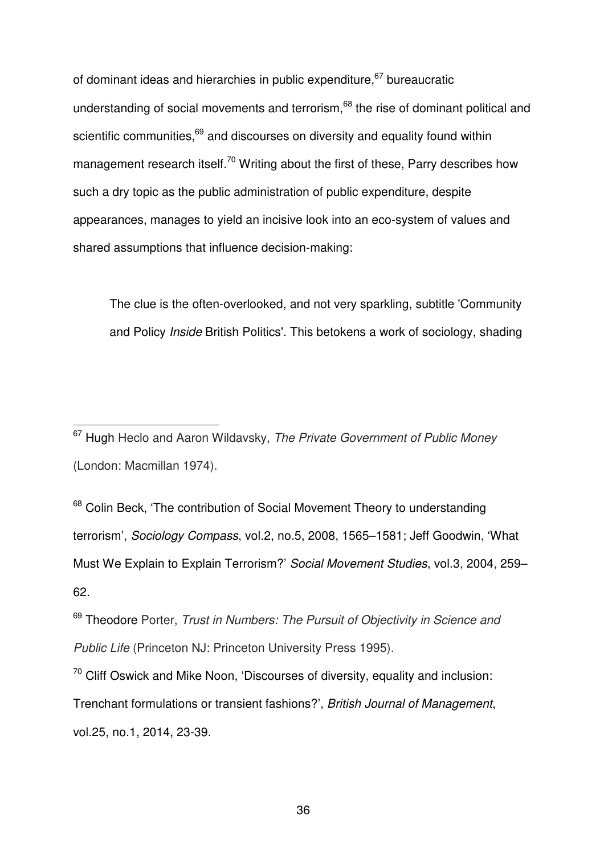of dominant ideas and hierarchies in public expenditure, <sup>67</sup> bureaucratic understanding of social movements and terrorism.<sup>68</sup> the rise of dominant political and scientific communities. $69$  and discourses on diversity and equality found within management research itself.<sup>70</sup> Writing about the first of these, Parry describes how such a dry topic as the public administration of public expenditure, despite appearances, manages to yield an incisive look into an eco-system of values and shared assumptions that influence decision-making:

The clue is the often-overlooked, and not very sparkling, subtitle 'Community and Policy *Inside* British Politics'. This betokens a work of sociology, shading

<sup>67</sup> Hugh Heclo and Aaron Wildavsky, *The Private Government of Public Money* (London: Macmillan 1974).

 $\overline{a}$ 

<sup>68</sup> Colin Beck, 'The contribution of Social Movement Theory to understanding terrorism', *Sociology Compass*, vol.2, no.5, 2008, 1565–1581; Jeff Goodwin, 'What Must We Explain to Explain Terrorism?' *Social Movement Studies*, vol.3, 2004, 259– 62.

<sup>69</sup> Theodore Porter, *Trust in Numbers: The Pursuit of Objectivity in Science and Public Life* (Princeton NJ: Princeton University Press 1995).

 $70$  Cliff Oswick and Mike Noon, 'Discourses of diversity, equality and inclusion: Trenchant formulations or transient fashions?', *British Journal of Management*, vol.25, no.1, 2014, 23-39.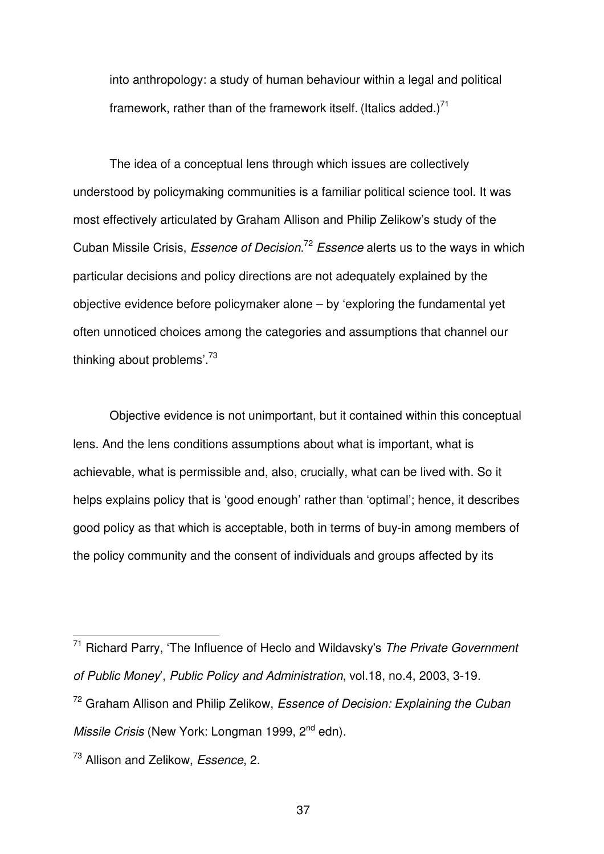into anthropology: a study of human behaviour within a legal and political framework, rather than of the framework itself. (Italics added.)<sup>71</sup>

The idea of a conceptual lens through which issues are collectively understood by policymaking communities is a familiar political science tool. It was most effectively articulated by Graham Allison and Philip Zelikow's study of the Cuban Missile Crisis, *Essence of Decision*. <sup>72</sup> *Essence* alerts us to the ways in which particular decisions and policy directions are not adequately explained by the objective evidence before policymaker alone – by 'exploring the fundamental yet often unnoticed choices among the categories and assumptions that channel our thinking about problems'.<sup>73</sup>

Objective evidence is not unimportant, but it contained within this conceptual lens. And the lens conditions assumptions about what is important, what is achievable, what is permissible and, also, crucially, what can be lived with. So it helps explains policy that is 'good enough' rather than 'optimal'; hence, it describes good policy as that which is acceptable, both in terms of buy-in among members of the policy community and the consent of individuals and groups affected by its

j

<sup>71</sup> Richard Parry, 'The Influence of Heclo and Wildavsky's *The Private Government of Public Money*', *Public Policy and Administration*, vol.18, no.4, 2003, 3-19.

<sup>72</sup> Graham Allison and Philip Zelikow, *Essence of Decision: Explaining the Cuban Missile Crisis* (New York: Longman 1999, 2<sup>nd</sup> edn).

<sup>73</sup> Allison and Zelikow, *Essence*, 2.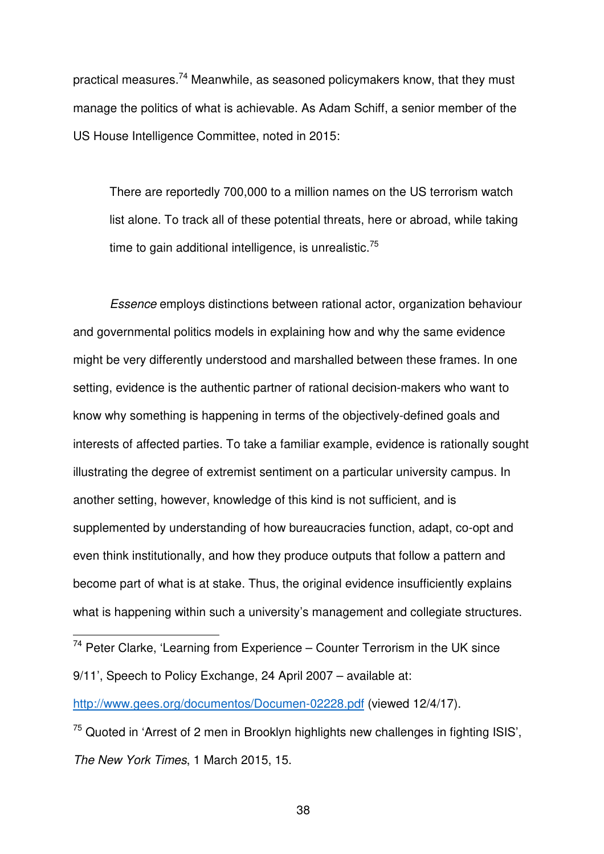practical measures.<sup>74</sup> Meanwhile, as seasoned policymakers know, that they must manage the politics of what is achievable. As Adam Schiff, a senior member of the US House Intelligence Committee, noted in 2015:

There are reportedly 700,000 to a million names on the US terrorism watch list alone. To track all of these potential threats, here or abroad, while taking time to gain additional intelligence, is unrealistic. $75$ 

*Essence* employs distinctions between rational actor, organization behaviour and governmental politics models in explaining how and why the same evidence might be very differently understood and marshalled between these frames. In one setting, evidence is the authentic partner of rational decision-makers who want to know why something is happening in terms of the objectively-defined goals and interests of affected parties. To take a familiar example, evidence is rationally sought illustrating the degree of extremist sentiment on a particular university campus. In another setting, however, knowledge of this kind is not sufficient, and is supplemented by understanding of how bureaucracies function, adapt, co-opt and even think institutionally, and how they produce outputs that follow a pattern and become part of what is at stake. Thus, the original evidence insufficiently explains what is happening within such a university's management and collegiate structures.

 $74$  Peter Clarke, 'Learning from Experience – Counter Terrorism in the UK since 9/11', Speech to Policy Exchange, 24 April 2007 – available at:

j

http://www.gees.org/documentos/Documen-02228.pdf (viewed 12/4/17).

 $75$  Quoted in 'Arrest of 2 men in Brooklyn highlights new challenges in fighting ISIS', *The New York Times*, 1 March 2015, 15.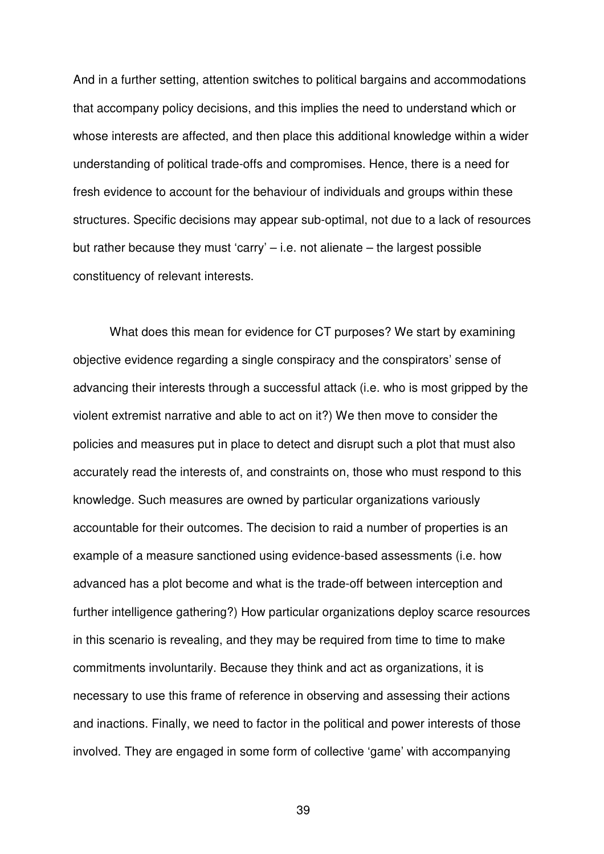And in a further setting, attention switches to political bargains and accommodations that accompany policy decisions, and this implies the need to understand which or whose interests are affected, and then place this additional knowledge within a wider understanding of political trade-offs and compromises. Hence, there is a need for fresh evidence to account for the behaviour of individuals and groups within these structures. Specific decisions may appear sub-optimal, not due to a lack of resources but rather because they must 'carry' – i.e. not alienate – the largest possible constituency of relevant interests.

What does this mean for evidence for CT purposes? We start by examining objective evidence regarding a single conspiracy and the conspirators' sense of advancing their interests through a successful attack (i.e. who is most gripped by the violent extremist narrative and able to act on it?) We then move to consider the policies and measures put in place to detect and disrupt such a plot that must also accurately read the interests of, and constraints on, those who must respond to this knowledge. Such measures are owned by particular organizations variously accountable for their outcomes. The decision to raid a number of properties is an example of a measure sanctioned using evidence-based assessments (i.e. how advanced has a plot become and what is the trade-off between interception and further intelligence gathering?) How particular organizations deploy scarce resources in this scenario is revealing, and they may be required from time to time to make commitments involuntarily. Because they think and act as organizations, it is necessary to use this frame of reference in observing and assessing their actions and inactions. Finally, we need to factor in the political and power interests of those involved. They are engaged in some form of collective 'game' with accompanying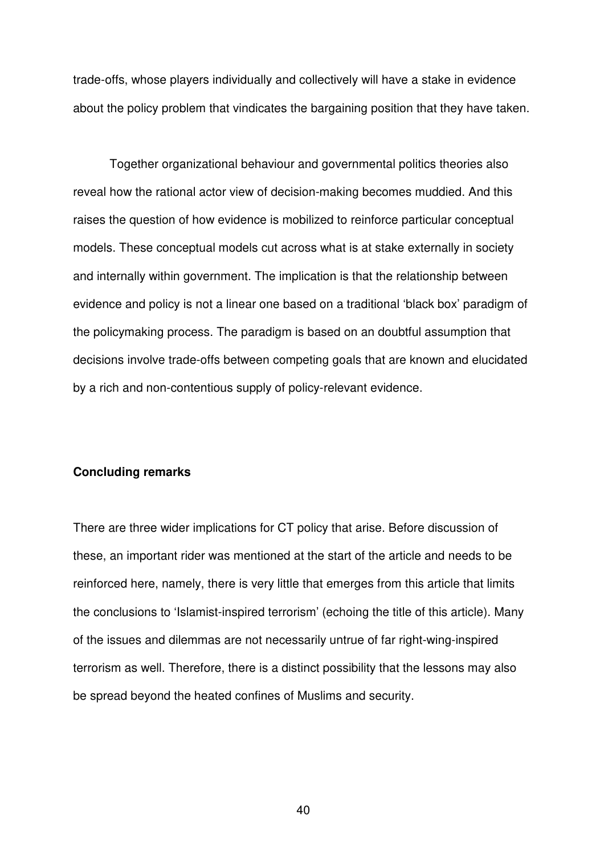trade-offs, whose players individually and collectively will have a stake in evidence about the policy problem that vindicates the bargaining position that they have taken.

Together organizational behaviour and governmental politics theories also reveal how the rational actor view of decision-making becomes muddied. And this raises the question of how evidence is mobilized to reinforce particular conceptual models. These conceptual models cut across what is at stake externally in society and internally within government. The implication is that the relationship between evidence and policy is not a linear one based on a traditional 'black box' paradigm of the policymaking process. The paradigm is based on an doubtful assumption that decisions involve trade-offs between competing goals that are known and elucidated by a rich and non-contentious supply of policy-relevant evidence.

### **Concluding remarks**

There are three wider implications for CT policy that arise. Before discussion of these, an important rider was mentioned at the start of the article and needs to be reinforced here, namely, there is very little that emerges from this article that limits the conclusions to 'Islamist-inspired terrorism' (echoing the title of this article). Many of the issues and dilemmas are not necessarily untrue of far right-wing-inspired terrorism as well. Therefore, there is a distinct possibility that the lessons may also be spread beyond the heated confines of Muslims and security.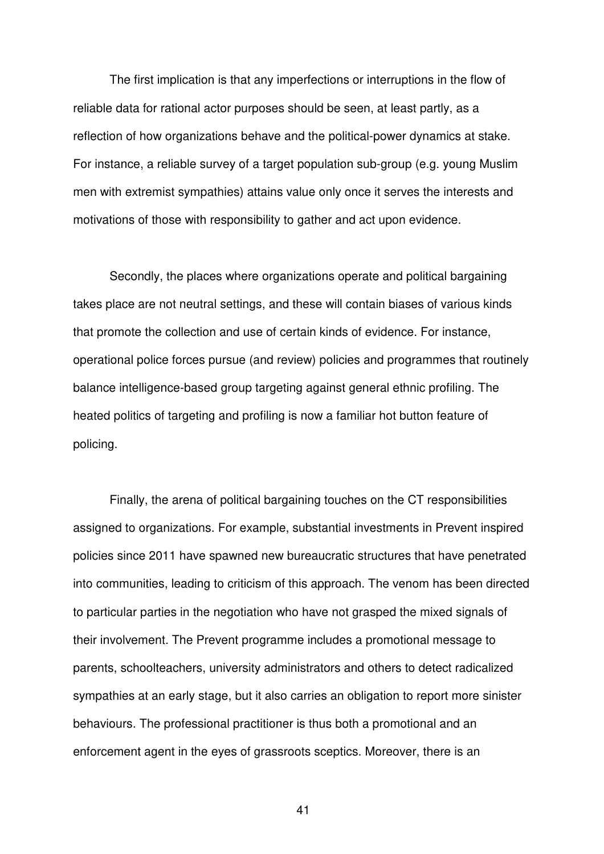The first implication is that any imperfections or interruptions in the flow of reliable data for rational actor purposes should be seen, at least partly, as a reflection of how organizations behave and the political-power dynamics at stake. For instance, a reliable survey of a target population sub-group (e.g. young Muslim men with extremist sympathies) attains value only once it serves the interests and motivations of those with responsibility to gather and act upon evidence.

Secondly, the places where organizations operate and political bargaining takes place are not neutral settings, and these will contain biases of various kinds that promote the collection and use of certain kinds of evidence. For instance, operational police forces pursue (and review) policies and programmes that routinely balance intelligence-based group targeting against general ethnic profiling. The heated politics of targeting and profiling is now a familiar hot button feature of policing.

Finally, the arena of political bargaining touches on the CT responsibilities assigned to organizations. For example, substantial investments in Prevent inspired policies since 2011 have spawned new bureaucratic structures that have penetrated into communities, leading to criticism of this approach. The venom has been directed to particular parties in the negotiation who have not grasped the mixed signals of their involvement. The Prevent programme includes a promotional message to parents, schoolteachers, university administrators and others to detect radicalized sympathies at an early stage, but it also carries an obligation to report more sinister behaviours. The professional practitioner is thus both a promotional and an enforcement agent in the eyes of grassroots sceptics. Moreover, there is an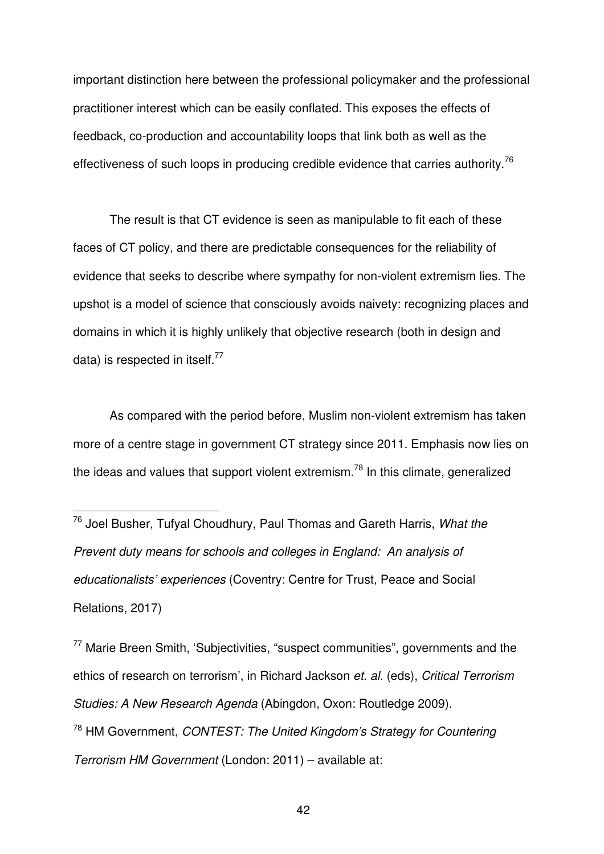important distinction here between the professional policymaker and the professional practitioner interest which can be easily conflated. This exposes the effects of feedback, co-production and accountability loops that link both as well as the effectiveness of such loops in producing credible evidence that carries authority.<sup>76</sup>

The result is that CT evidence is seen as manipulable to fit each of these faces of CT policy, and there are predictable consequences for the reliability of evidence that seeks to describe where sympathy for non-violent extremism lies. The upshot is a model of science that consciously avoids naivety: recognizing places and domains in which it is highly unlikely that objective research (both in design and data) is respected in itself. $^{77}$ 

As compared with the period before, Muslim non-violent extremism has taken more of a centre stage in government CT strategy since 2011. Emphasis now lies on the ideas and values that support violent extremism.<sup>78</sup> In this climate, generalized

 $\overline{a}$ 

<sup>77</sup> Marie Breen Smith, 'Subjectivities, "suspect communities", governments and the ethics of research on terrorism', in Richard Jackson *et. al.* (eds), *Critical Terrorism Studies: A New Research Agenda* (Abingdon, Oxon: Routledge 2009). <sup>78</sup> HM Government, *CONTEST: The United Kingdom's Strategy for Countering Terrorism HM Government* (London: 2011) – available at:

<sup>76</sup> Joel Busher, Tufyal Choudhury, Paul Thomas and Gareth Harris, *What the Prevent duty means for schools and colleges in England: An analysis of educationalists' experiences* (Coventry: Centre for Trust, Peace and Social Relations, 2017)